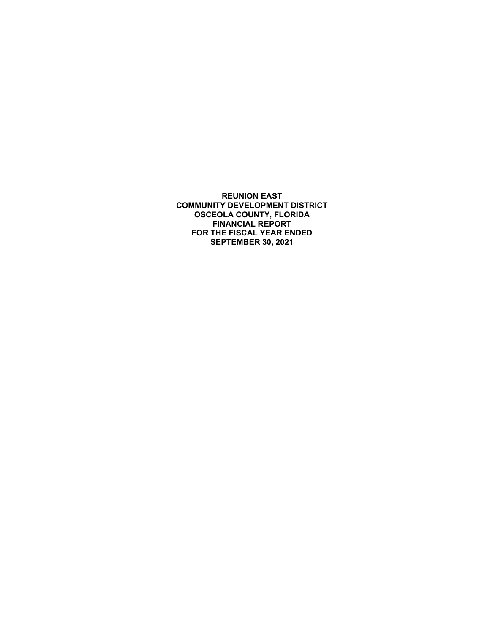**REUNION EAST COMMUNITY DEVELOPMENT DISTRICT OSCEOLA COUNTY, FLORIDA FINANCIAL REPORT FOR THE FISCAL YEAR ENDED SEPTEMBER 30, 2021**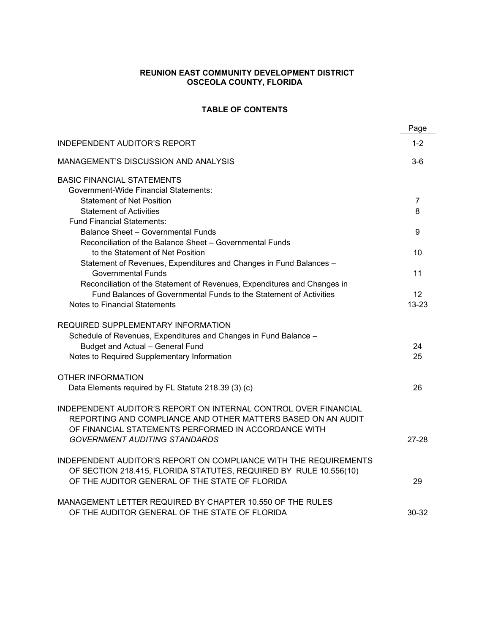# **REUNION EAST COMMUNITY DEVELOPMENT DISTRICT OSCEOLA COUNTY, FLORIDA**

# **TABLE OF CONTENTS**

|                                                                          | Page           |
|--------------------------------------------------------------------------|----------------|
| INDEPENDENT AUDITOR'S REPORT                                             | $1 - 2$        |
| MANAGEMENT'S DISCUSSION AND ANALYSIS                                     | 3-6            |
| <b>BASIC FINANCIAL STATEMENTS</b>                                        |                |
| <b>Government-Wide Financial Statements:</b>                             |                |
| <b>Statement of Net Position</b>                                         | $\overline{7}$ |
| <b>Statement of Activities</b>                                           | 8              |
| <b>Fund Financial Statements:</b>                                        |                |
| Balance Sheet - Governmental Funds                                       | 9              |
| Reconciliation of the Balance Sheet - Governmental Funds                 |                |
| to the Statement of Net Position                                         | 10             |
| Statement of Revenues, Expenditures and Changes in Fund Balances -       |                |
| <b>Governmental Funds</b>                                                | 11             |
| Reconciliation of the Statement of Revenues, Expenditures and Changes in |                |
| Fund Balances of Governmental Funds to the Statement of Activities       | 12             |
| Notes to Financial Statements                                            | $13 - 23$      |
|                                                                          |                |
| REQUIRED SUPPLEMENTARY INFORMATION                                       |                |
| Schedule of Revenues, Expenditures and Changes in Fund Balance -         |                |
| <b>Budget and Actual - General Fund</b>                                  | 24             |
| Notes to Required Supplementary Information                              | 25             |
|                                                                          |                |
| OTHER INFORMATION                                                        |                |
| Data Elements required by FL Statute 218.39 (3) (c)                      | 26             |
|                                                                          |                |
| INDEPENDENT AUDITOR'S REPORT ON INTERNAL CONTROL OVER FINANCIAL          |                |
| REPORTING AND COMPLIANCE AND OTHER MATTERS BASED ON AN AUDIT             |                |
| OF FINANCIAL STATEMENTS PERFORMED IN ACCORDANCE WITH                     |                |
| <b>GOVERNMENT AUDITING STANDARDS</b>                                     | $27 - 28$      |
|                                                                          |                |
| INDEPENDENT AUDITOR'S REPORT ON COMPLIANCE WITH THE REQUIREMENTS         |                |
| OF SECTION 218.415, FLORIDA STATUTES, REQUIRED BY RULE 10.556(10)        |                |
| OF THE AUDITOR GENERAL OF THE STATE OF FLORIDA                           | 29             |
|                                                                          |                |
| MANAGEMENT LETTER REQUIRED BY CHAPTER 10.550 OF THE RULES                |                |
| OF THE AUDITOR GENERAL OF THE STATE OF FLORIDA                           | 30-32          |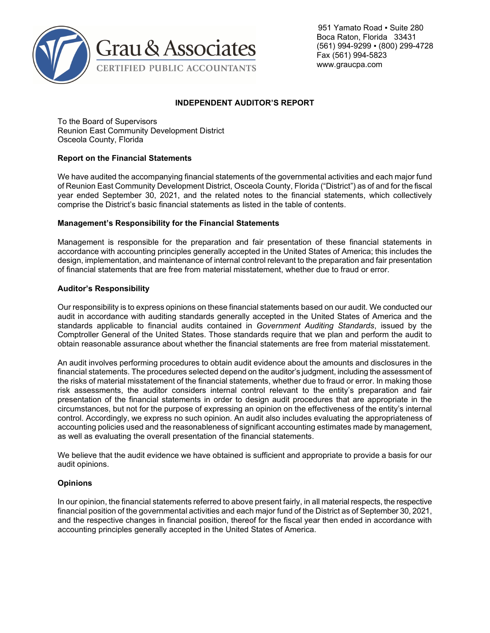

951 Yamato Road · Suite 280 Boca Raton, Florida 33431 (561) 994-9299 ▪ (800) 299-4728 Fax (561) 994-5823 www.graucpa.com

# **INDEPENDENT AUDITOR'S REPORT**

To the Board of Supervisors Reunion East Community Development District Osceola County, Florida

# **Report on the Financial Statements**

We have audited the accompanying financial statements of the governmental activities and each major fund of Reunion East Community Development District, Osceola County, Florida ("District") as of and for the fiscal year ended September 30, 2021, and the related notes to the financial statements, which collectively comprise the District's basic financial statements as listed in the table of contents.

## **Management's Responsibility for the Financial Statements**

Management is responsible for the preparation and fair presentation of these financial statements in accordance with accounting principles generally accepted in the United States of America; this includes the design, implementation, and maintenance of internal control relevant to the preparation and fair presentation of financial statements that are free from material misstatement, whether due to fraud or error.

# **Auditor's Responsibility**

Our responsibility is to express opinions on these financial statements based on our audit. We conducted our audit in accordance with auditing standards generally accepted in the United States of America and the standards applicable to financial audits contained in *Government Auditing Standards*, issued by the Comptroller General of the United States. Those standards require that we plan and perform the audit to obtain reasonable assurance about whether the financial statements are free from material misstatement.

An audit involves performing procedures to obtain audit evidence about the amounts and disclosures in the financial statements. The procedures selected depend on the auditor's judgment, including the assessment of the risks of material misstatement of the financial statements, whether due to fraud or error. In making those risk assessments, the auditor considers internal control relevant to the entity's preparation and fair presentation of the financial statements in order to design audit procedures that are appropriate in the circumstances, but not for the purpose of expressing an opinion on the effectiveness of the entity's internal control. Accordingly, we express no such opinion. An audit also includes evaluating the appropriateness of accounting policies used and the reasonableness of significant accounting estimates made by management, as well as evaluating the overall presentation of the financial statements.

We believe that the audit evidence we have obtained is sufficient and appropriate to provide a basis for our audit opinions.

## **Opinions**

In our opinion, the financial statements referred to above present fairly, in all material respects, the respective financial position of the governmental activities and each major fund of the District as of September 30, 2021, and the respective changes in financial position, thereof for the fiscal year then ended in accordance with accounting principles generally accepted in the United States of America.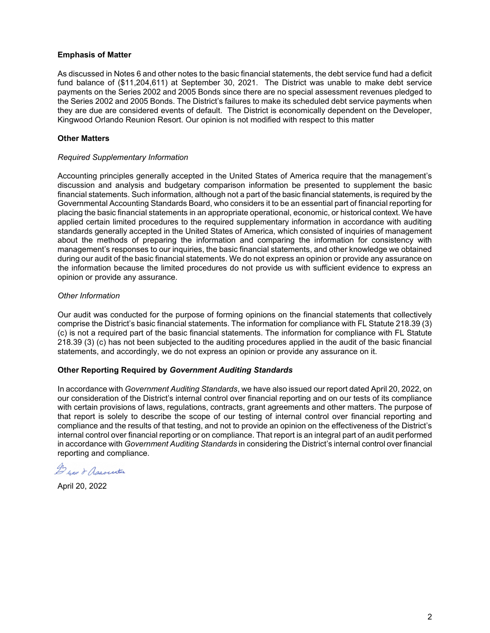# **Emphasis of Matter**

As discussed in Notes 6 and other notes to the basic financial statements, the debt service fund had a deficit fund balance of (\$11,204,611) at September 30, 2021. The District was unable to make debt service payments on the Series 2002 and 2005 Bonds since there are no special assessment revenues pledged to the Series 2002 and 2005 Bonds. The District's failures to make its scheduled debt service payments when they are due are considered events of default. The District is economically dependent on the Developer, Kingwood Orlando Reunion Resort. Our opinion is not modified with respect to this matter

# **Other Matters**

## *Required Supplementary Information*

Accounting principles generally accepted in the United States of America require that the management's discussion and analysis and budgetary comparison information be presented to supplement the basic financial statements. Such information, although not a part of the basic financial statements, is required by the Governmental Accounting Standards Board, who considers it to be an essential part of financial reporting for placing the basic financial statements in an appropriate operational, economic, or historical context. We have applied certain limited procedures to the required supplementary information in accordance with auditing standards generally accepted in the United States of America, which consisted of inquiries of management about the methods of preparing the information and comparing the information for consistency with management's responses to our inquiries, the basic financial statements, and other knowledge we obtained during our audit of the basic financial statements. We do not express an opinion or provide any assurance on the information because the limited procedures do not provide us with sufficient evidence to express an opinion or provide any assurance.

## *Other Information*

Our audit was conducted for the purpose of forming opinions on the financial statements that collectively comprise the District's basic financial statements. The information for compliance with FL Statute 218.39 (3) (c) is not a required part of the basic financial statements. The information for compliance with FL Statute 218.39 (3) (c) has not been subjected to the auditing procedures applied in the audit of the basic financial statements, and accordingly, we do not express an opinion or provide any assurance on it.

## **Other Reporting Required by** *Government Auditing Standards*

In accordance with *Government Auditing Standards*, we have also issued our report dated April 20, 2022, on our consideration of the District's internal control over financial reporting and on our tests of its compliance with certain provisions of laws, regulations, contracts, grant agreements and other matters. The purpose of that report is solely to describe the scope of our testing of internal control over financial reporting and compliance and the results of that testing, and not to provide an opinion on the effectiveness of the District's internal control over financial reporting or on compliance. That report is an integral part of an audit performed in accordance with *Government Auditing Standards* in considering the District's internal control over financial reporting and compliance.

De nav & Association

April 20, 2022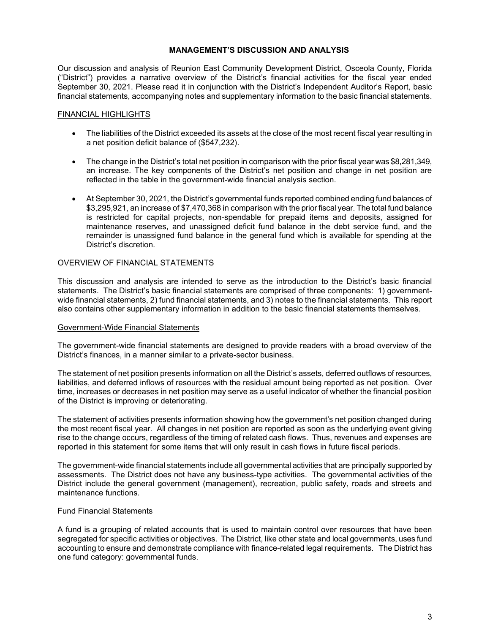# **MANAGEMENT'S DISCUSSION AND ANALYSIS**

Our discussion and analysis of Reunion East Community Development District, Osceola County, Florida ("District") provides a narrative overview of the District's financial activities for the fiscal year ended September 30, 2021. Please read it in conjunction with the District's Independent Auditor's Report, basic financial statements, accompanying notes and supplementary information to the basic financial statements.

# FINANCIAL HIGHLIGHTS

- The liabilities of the District exceeded its assets at the close of the most recent fiscal year resulting in a net position deficit balance of (\$547,232).
- The change in the District's total net position in comparison with the prior fiscal year was \$8,281,349, an increase. The key components of the District's net position and change in net position are reflected in the table in the government-wide financial analysis section.
- At September 30, 2021, the District's governmental funds reported combined ending fund balances of \$3,295,921, an increase of \$7,470,368 in comparison with the prior fiscal year. The total fund balance is restricted for capital projects, non-spendable for prepaid items and deposits, assigned for maintenance reserves, and unassigned deficit fund balance in the debt service fund, and the remainder is unassigned fund balance in the general fund which is available for spending at the District's discretion.

# OVERVIEW OF FINANCIAL STATEMENTS

This discussion and analysis are intended to serve as the introduction to the District's basic financial statements. The District's basic financial statements are comprised of three components: 1) governmentwide financial statements, 2) fund financial statements, and 3) notes to the financial statements. This report also contains other supplementary information in addition to the basic financial statements themselves.

## Government-Wide Financial Statements

The government-wide financial statements are designed to provide readers with a broad overview of the District's finances, in a manner similar to a private-sector business.

The statement of net position presents information on all the District's assets, deferred outflows of resources, liabilities, and deferred inflows of resources with the residual amount being reported as net position. Over time, increases or decreases in net position may serve as a useful indicator of whether the financial position of the District is improving or deteriorating.

The statement of activities presents information showing how the government's net position changed during the most recent fiscal year. All changes in net position are reported as soon as the underlying event giving rise to the change occurs, regardless of the timing of related cash flows. Thus, revenues and expenses are reported in this statement for some items that will only result in cash flows in future fiscal periods.

The government-wide financial statements include all governmental activities that are principally supported by assessments. The District does not have any business-type activities. The governmental activities of the District include the general government (management), recreation, public safety, roads and streets and maintenance functions.

## Fund Financial Statements

A fund is a grouping of related accounts that is used to maintain control over resources that have been segregated for specific activities or objectives. The District, like other state and local governments, uses fund accounting to ensure and demonstrate compliance with finance-related legal requirements. The District has one fund category: governmental funds.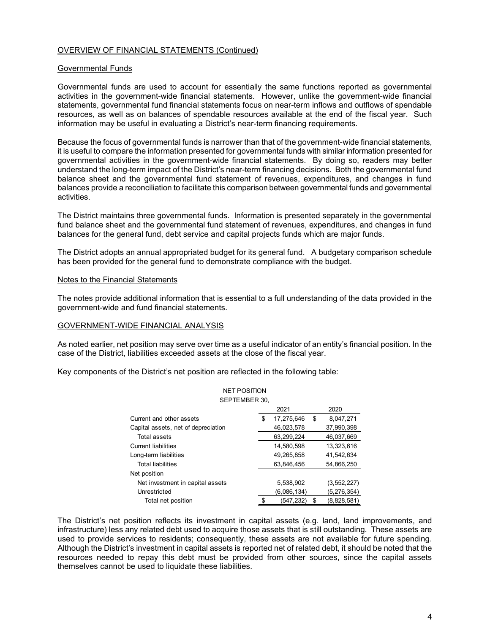# OVERVIEW OF FINANCIAL STATEMENTS (Continued)

#### Governmental Funds

Governmental funds are used to account for essentially the same functions reported as governmental activities in the government-wide financial statements. However, unlike the government-wide financial statements, governmental fund financial statements focus on near-term inflows and outflows of spendable resources, as well as on balances of spendable resources available at the end of the fiscal year. Such information may be useful in evaluating a District's near-term financing requirements.

Because the focus of governmental funds is narrower than that of the government-wide financial statements, it is useful to compare the information presented for governmental funds with similar information presented for governmental activities in the government-wide financial statements. By doing so, readers may better understand the long-term impact of the District's near-term financing decisions. Both the governmental fund balance sheet and the governmental fund statement of revenues, expenditures, and changes in fund balances provide a reconciliation to facilitate this comparison between governmental funds and governmental activities.

The District maintains three governmental funds. Information is presented separately in the governmental fund balance sheet and the governmental fund statement of revenues, expenditures, and changes in fund balances for the general fund, debt service and capital projects funds which are major funds.

The District adopts an annual appropriated budget for its general fund. A budgetary comparison schedule has been provided for the general fund to demonstrate compliance with the budget.

#### Notes to the Financial Statements

The notes provide additional information that is essential to a full understanding of the data provided in the government-wide and fund financial statements.

## GOVERNMENT-WIDE FINANCIAL ANALYSIS

As noted earlier, net position may serve over time as a useful indicator of an entity's financial position. In the case of the District, liabilities exceeded assets at the close of the fiscal year.

Key components of the District's net position are reflected in the following table:

| <b>NET POSITION</b>                 |               |             |    |               |  |  |  |  |  |  |
|-------------------------------------|---------------|-------------|----|---------------|--|--|--|--|--|--|
|                                     | SEPTEMBER 30. |             |    |               |  |  |  |  |  |  |
|                                     |               | 2021        |    | 2020          |  |  |  |  |  |  |
| Current and other assets            | \$            | 17,275,646  | \$ | 8,047,271     |  |  |  |  |  |  |
| Capital assets, net of depreciation |               | 46,023,578  |    | 37,990,398    |  |  |  |  |  |  |
| Total assets                        |               | 63,299,224  |    | 46,037,669    |  |  |  |  |  |  |
| <b>Current liabilities</b>          |               | 14,580,598  |    | 13.323.616    |  |  |  |  |  |  |
| Long-term liabilities               |               | 49.265.858  |    | 41.542.634    |  |  |  |  |  |  |
| <b>Total liabilities</b>            |               | 63.846.456  |    | 54,866,250    |  |  |  |  |  |  |
| Net position                        |               |             |    |               |  |  |  |  |  |  |
| Net investment in capital assets    |               | 5,538,902   |    | (3, 552, 227) |  |  |  |  |  |  |
| Unrestricted                        |               | (6,086,134) |    | (5, 276, 354) |  |  |  |  |  |  |
| Total net position                  | \$            | (547,232)   | \$ | (8,828,581)   |  |  |  |  |  |  |

The District's net position reflects its investment in capital assets (e.g. land, land improvements, and infrastructure) less any related debt used to acquire those assets that is still outstanding. These assets are used to provide services to residents; consequently, these assets are not available for future spending. Although the District's investment in capital assets is reported net of related debt, it should be noted that the resources needed to repay this debt must be provided from other sources, since the capital assets themselves cannot be used to liquidate these liabilities.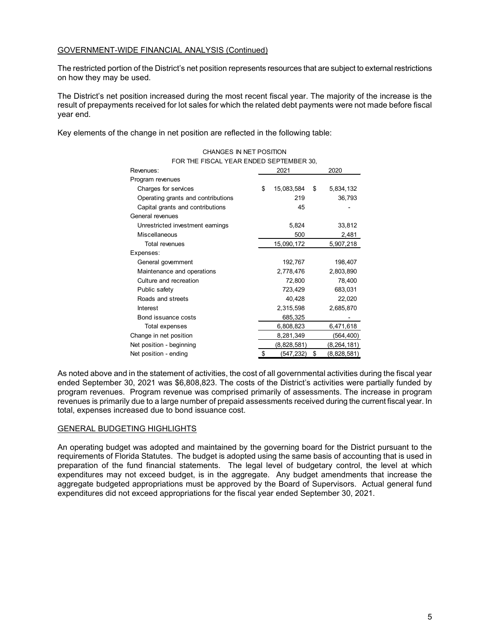# GOVERNMENT-WIDE FINANCIAL ANALYSIS (Continued)

The restricted portion of the District's net position represents resources that are subject to external restrictions on how they may be used.

The District's net position increased during the most recent fiscal year. The majority of the increase is the result of prepayments received for lot sales for which the related debt payments were not made before fiscal year end.

CHANGES IN NET POSITION

Key elements of the change in net position are reflected in the following table:

| FOR THE FISCAL YEAR ENDED SEPTEMBER 30, |    |             |    |               |  |  |  |
|-----------------------------------------|----|-------------|----|---------------|--|--|--|
| Revenues:                               |    | 2021        |    | 2020          |  |  |  |
| Program revenues                        |    |             |    |               |  |  |  |
| Charges for services                    | \$ | 15,083,584  | \$ | 5,834,132     |  |  |  |
| Operating grants and contributions      |    | 219         |    | 36,793        |  |  |  |
| Capital grants and contributions        |    | 45          |    |               |  |  |  |
| General revenues                        |    |             |    |               |  |  |  |
| Unrestricted investment earnings        |    | 5,824       |    | 33,812        |  |  |  |
| Miscellaneous                           |    | 500         |    | 2,481         |  |  |  |
| Total revenues                          |    | 15,090,172  |    | 5,907,218     |  |  |  |
| Expenses:                               |    |             |    |               |  |  |  |
| General government                      |    | 192,767     |    | 198,407       |  |  |  |
| Maintenance and operations              |    | 2,778,476   |    | 2,803,890     |  |  |  |
| Culture and recreation                  |    | 72,800      |    | 78,400        |  |  |  |
| Public safety                           |    | 723,429     |    | 683,031       |  |  |  |
| Roads and streets                       |    | 40,428      |    | 22,020        |  |  |  |
| Interest                                |    | 2,315,598   |    | 2,685,870     |  |  |  |
| Bond issuance costs                     |    | 685,325     |    |               |  |  |  |
| Total expenses                          |    | 6,808,823   |    | 6,471,618     |  |  |  |
| Change in net position                  |    | 8,281,349   |    | (564,400)     |  |  |  |
| Net position - beginning                |    | (8,828,581) |    | (8, 264, 181) |  |  |  |
| Net position - ending                   | \$ | (547,232)   | \$ | (8,828,581)   |  |  |  |

As noted above and in the statement of activities, the cost of all governmental activities during the fiscal year ended September 30, 2021 was \$6,808,823. The costs of the District's activities were partially funded by program revenues. Program revenue was comprised primarily of assessments. The increase in program revenues is primarily due to a large number of prepaid assessments received during the current fiscal year. In total, expenses increased due to bond issuance cost.

## GENERAL BUDGETING HIGHLIGHTS

An operating budget was adopted and maintained by the governing board for the District pursuant to the requirements of Florida Statutes. The budget is adopted using the same basis of accounting that is used in preparation of the fund financial statements. The legal level of budgetary control, the level at which expenditures may not exceed budget, is in the aggregate. Any budget amendments that increase the aggregate budgeted appropriations must be approved by the Board of Supervisors. Actual general fund expenditures did not exceed appropriations for the fiscal year ended September 30, 2021.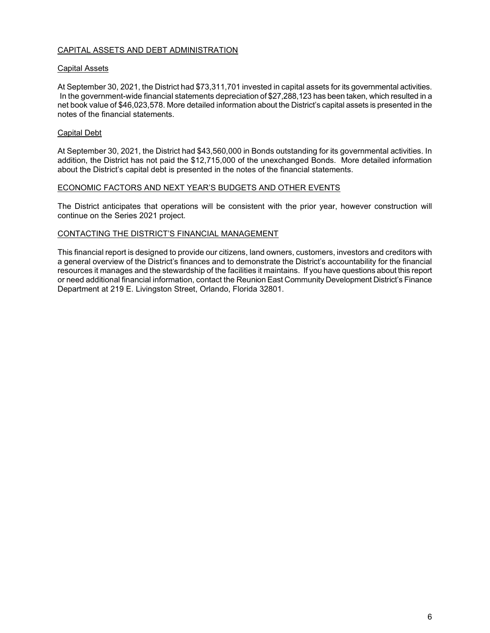# CAPITAL ASSETS AND DEBT ADMINISTRATION

# Capital Assets

At September 30, 2021, the District had \$73,311,701 invested in capital assets for its governmental activities. In the government-wide financial statements depreciation of \$27,288,123 has been taken, which resulted in a net book value of \$46,023,578. More detailed information about the District's capital assets is presented in the notes of the financial statements.

# Capital Debt

At September 30, 2021, the District had \$43,560,000 in Bonds outstanding for its governmental activities. In addition, the District has not paid the \$12,715,000 of the unexchanged Bonds. More detailed information about the District's capital debt is presented in the notes of the financial statements.

## ECONOMIC FACTORS AND NEXT YEAR'S BUDGETS AND OTHER EVENTS

The District anticipates that operations will be consistent with the prior year, however construction will continue on the Series 2021 project.

## CONTACTING THE DISTRICT'S FINANCIAL MANAGEMENT

This financial report is designed to provide our citizens, land owners, customers, investors and creditors with a general overview of the District's finances and to demonstrate the District's accountability for the financial resources it manages and the stewardship of the facilities it maintains. If you have questions about this report or need additional financial information, contact the Reunion East Community Development District's Finance Department at 219 E. Livingston Street, Orlando, Florida 32801.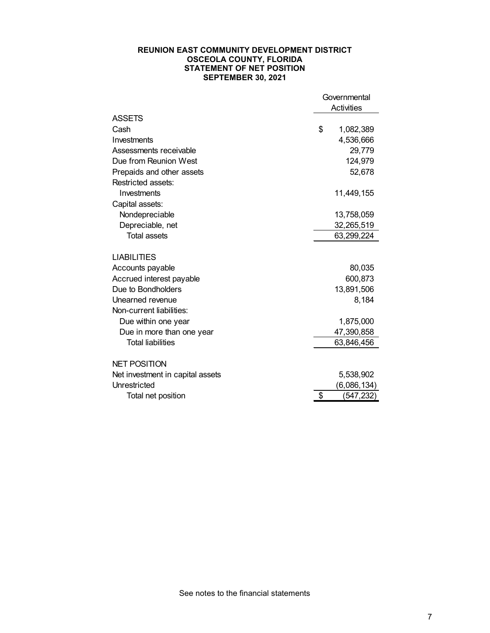# **REUNION EAST COMMUNITY DEVELOPMENT DISTRICT OSCEOLA COUNTY, FLORIDA STATEMENT OF NET POSITION SEPTEMBER 30, 2021**

|                                  | Governmental     |  |  |
|----------------------------------|------------------|--|--|
|                                  | Activities       |  |  |
| <b>ASSETS</b>                    |                  |  |  |
| Cash                             | \$<br>1,082,389  |  |  |
| Investments                      | 4,536,666        |  |  |
| Assessments receivable           | 29,779           |  |  |
| Due from Reunion West            | 124,979          |  |  |
| Prepaids and other assets        | 52,678           |  |  |
| Restricted assets:               |                  |  |  |
| Investments                      | 11,449,155       |  |  |
| Capital assets:                  |                  |  |  |
| Nondepreciable                   | 13,758,059       |  |  |
| Depreciable, net                 | 32,265,519       |  |  |
| <b>Total assets</b>              | 63,299,224       |  |  |
|                                  |                  |  |  |
| <b>LIABILITIES</b>               |                  |  |  |
| Accounts payable                 | 80,035           |  |  |
| Accrued interest payable         | 600,873          |  |  |
| Due to Bondholders               | 13,891,506       |  |  |
| Unearned revenue                 | 8,184            |  |  |
| Non-current liabilities:         |                  |  |  |
| Due within one year              | 1,875,000        |  |  |
| Due in more than one year        | 47,390,858       |  |  |
| <b>Total liabilities</b>         | 63,846,456       |  |  |
|                                  |                  |  |  |
| <b>NET POSITION</b>              |                  |  |  |
| Net investment in capital assets | 5,538,902        |  |  |
| Unrestricted                     | (6,086,134)      |  |  |
| Total net position               | \$<br>(547, 232) |  |  |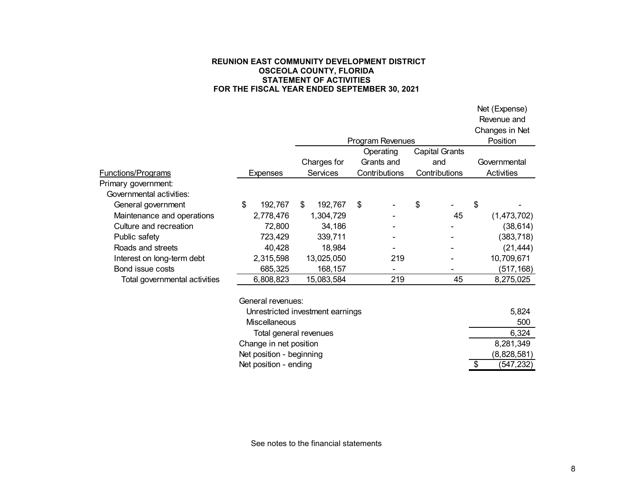#### **REUNION EAST COMMUNITY DEVELOPMENT DISTRICT OSCEOLA COUNTY, FLORIDA STATEMENT OF ACTIVITIES FOR THE FISCAL YEAR ENDED SEPTEMBER 30, 2021**

|                               |                                  |               |                  |                       | Net (Expense)  |
|-------------------------------|----------------------------------|---------------|------------------|-----------------------|----------------|
|                               |                                  |               |                  |                       | Revenue and    |
|                               |                                  |               |                  |                       | Changes in Net |
|                               |                                  |               | Program Revenues |                       | Position       |
|                               |                                  |               | Operating        | <b>Capital Grants</b> |                |
|                               |                                  | Charges for   | Grants and       | and                   | Governmental   |
| <b>Functions/Programs</b>     | <b>Expenses</b>                  | Services      | Contributions    | Contributions         | Activities     |
| Primary government:           |                                  |               |                  |                       |                |
| Governmental activities:      |                                  |               |                  |                       |                |
| General government            | \$<br>192,767                    | \$<br>192,767 | \$               | \$                    | \$             |
| Maintenance and operations    | 2,778,476                        | 1,304,729     |                  | 45                    | (1,473,702)    |
| Culture and recreation        | 72,800                           | 34,186        |                  |                       | (38, 614)      |
| Public safety                 | 723,429                          | 339,711       |                  |                       | (383, 718)     |
| Roads and streets             | 40,428                           | 18,984        |                  |                       | (21, 444)      |
| Interest on long-term debt    | 2,315,598                        | 13,025,050    | 219              |                       | 10,709,671     |
| Bond issue costs              | 685,325                          | 168,157       |                  |                       | (517,168)      |
| Total governmental activities | 6,808,823                        | 15,083,584    | 219              | 45                    | 8,275,025      |
|                               | General revenues:                |               |                  |                       |                |
|                               | Unrestricted investment earnings |               |                  |                       | 5,824          |
|                               | Miscellaneous                    |               |                  |                       | 500            |
|                               | Total general revenues           |               |                  |                       | 6,324          |
|                               | Change in net position           |               |                  |                       | 8,281,349      |

See notes to the financial statements

Net position - beginning (8,828,581) Net position - ending  $\frac{1}{\sqrt{2}}$  (547,232)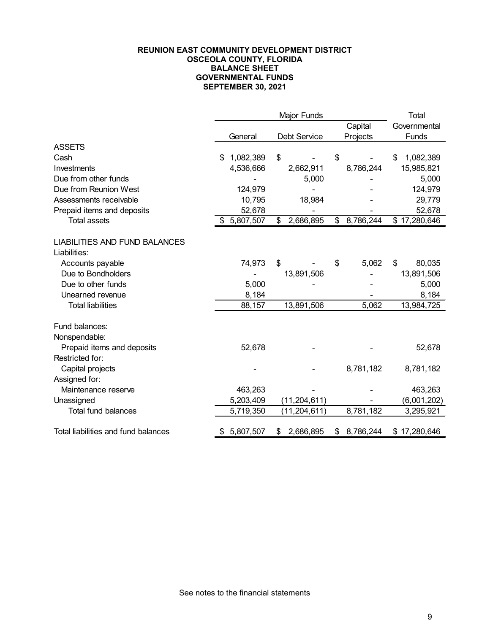# **REUNION EAST COMMUNITY DEVELOPMENT DISTRICT OSCEOLA COUNTY, FLORIDA BALANCE SHEET GOVERNMENTAL FUNDS SEPTEMBER 30, 2021**

|                                      |                 |                       | Total     |                 |
|--------------------------------------|-----------------|-----------------------|-----------|-----------------|
|                                      |                 |                       | Capital   | Governmental    |
|                                      | General         | Debt Service          | Projects  | Funds           |
| <b>ASSETS</b>                        |                 |                       |           |                 |
| Cash                                 | 1,082,389<br>\$ | \$<br>\$              |           | 1,082,389<br>\$ |
| Investments                          | 4,536,666       | 2,662,911             | 8,786,244 | 15,985,821      |
| Due from other funds                 |                 | 5,000                 |           | 5,000           |
| Due from Reunion West                | 124,979         |                       |           | 124,979         |
| Assessments receivable               | 10,795          | 18,984                |           | 29,779          |
| Prepaid items and deposits           | 52,678          |                       |           | 52,678          |
| <b>Total assets</b>                  | 5,807,507<br>\$ | \$<br>2,686,895<br>\$ | 8,786,244 | \$17,280,646    |
|                                      |                 |                       |           |                 |
| <b>LIABILITIES AND FUND BALANCES</b> |                 |                       |           |                 |
| Liabilities:                         |                 |                       |           |                 |
| Accounts payable                     | 74,973          | \$<br>\$              | 5,062     | \$<br>80,035    |
| Due to Bondholders                   |                 | 13,891,506            |           | 13,891,506      |
| Due to other funds                   | 5,000           |                       |           | 5,000           |
| Unearned revenue                     | 8,184           |                       |           | 8,184           |
| <b>Total liabilities</b>             | 88,157          | 13,891,506            | 5,062     | 13,984,725      |
|                                      |                 |                       |           |                 |
| Fund balances:                       |                 |                       |           |                 |
| Nonspendable:                        |                 |                       |           |                 |
| Prepaid items and deposits           | 52,678          |                       |           | 52,678          |
| Restricted for:                      |                 |                       |           |                 |
| Capital projects                     |                 |                       | 8,781,182 | 8,781,182       |
| Assigned for:                        |                 |                       |           |                 |
| Maintenance reserve                  | 463,263         |                       |           | 463,263         |
| Unassigned                           | 5,203,409       | (11, 204, 611)        |           | (6,001,202)     |
| <b>Total fund balances</b>           | 5,719,350       | (11, 204, 611)        | 8,781,182 | 3,295,921       |
| Total liabilities and fund balances  |                 |                       |           |                 |
|                                      | 5,807,507<br>S. | 2,686,895<br>\$<br>\$ | 8,786,244 | \$17,280,646    |

See notes to the financial statements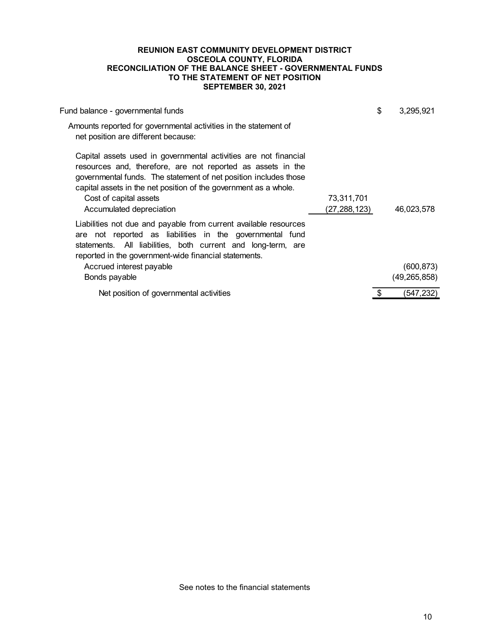## **REUNION EAST COMMUNITY DEVELOPMENT DISTRICT OSCEOLA COUNTY, FLORIDA RECONCILIATION OF THE BALANCE SHEET - GOVERNMENTAL FUNDS TO THE STATEMENT OF NET POSITION SEPTEMBER 30, 2021**

| Fund balance - governmental funds                                                                                                                                                                                                                                                                                             |                            | \$<br>3,295,921 |
|-------------------------------------------------------------------------------------------------------------------------------------------------------------------------------------------------------------------------------------------------------------------------------------------------------------------------------|----------------------------|-----------------|
| Amounts reported for governmental activities in the statement of<br>net position are different because:                                                                                                                                                                                                                       |                            |                 |
| Capital assets used in governmental activities are not financial<br>resources and, therefore, are not reported as assets in the<br>governmental funds. The statement of net position includes those<br>capital assets in the net position of the government as a whole.<br>Cost of capital assets<br>Accumulated depreciation | 73,311,701<br>(27,288,123) | 46,023,578      |
| Liabilities not due and payable from current available resources<br>are not reported as liabilities in the governmental fund<br>statements. All liabilities, both current and long-term, are<br>reported in the government-wide financial statements.                                                                         |                            |                 |
| Accrued interest payable                                                                                                                                                                                                                                                                                                      |                            | (600, 873)      |
| Bonds payable                                                                                                                                                                                                                                                                                                                 |                            | (49,265,858)    |
| Net position of governmental activities                                                                                                                                                                                                                                                                                       |                            | (547,232)       |
|                                                                                                                                                                                                                                                                                                                               |                            |                 |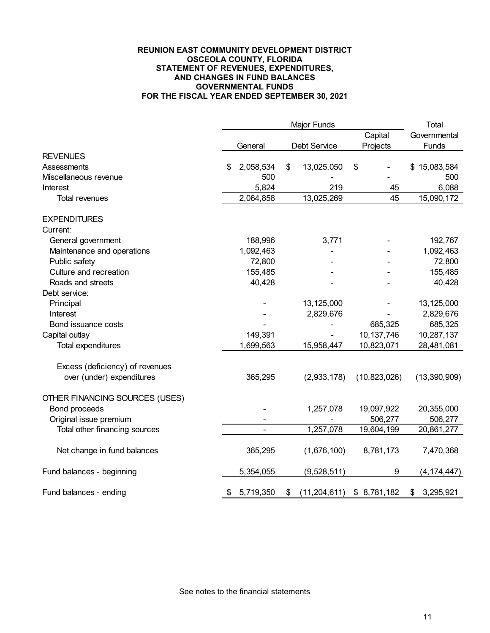## **REUNION EAST COMMUNITY DEVELOPMENT DISTRICT OSCEOLA COUNTY, FLORIDA STATEMENT OF REVENUES, EXPENDITURES, AND CHANGES IN FUND BALANCES GOVERNMENTAL FUNDS FOR THE FISCAL YEAR ENDED SEPTEMBER 30, 2021**

|                                 |    |                |                      | Total        |                 |
|---------------------------------|----|----------------|----------------------|--------------|-----------------|
|                                 |    |                |                      | Capital      | Governmental    |
|                                 |    | General        | Debt Service         | Projects     | Funds           |
| <b>REVENUES</b>                 |    |                |                      |              |                 |
| Assessments                     | \$ | 2,058,534      | \$<br>13,025,050     | \$           | \$15,083,584    |
| Miscellaneous revenue           |    | 500            |                      |              | 500             |
| Interest                        |    | 5,824          | 219                  | 45           | 6,088           |
| <b>Total revenues</b>           |    | 2,064,858      | 13,025,269           | 45           | 15,090,172      |
| <b>EXPENDITURES</b>             |    |                |                      |              |                 |
| Current:                        |    |                |                      |              |                 |
| General government              |    | 188,996        | 3,771                |              | 192,767         |
| Maintenance and operations      |    | 1,092,463      |                      |              | 1,092,463       |
| Public safety                   |    | 72,800         |                      |              | 72,800          |
| Culture and recreation          |    | 155,485        |                      |              | 155,485         |
| Roads and streets               |    | 40,428         |                      |              | 40,428          |
| Debt service:                   |    |                |                      |              |                 |
| Principal                       |    |                | 13, 125, 000         |              | 13,125,000      |
| Interest                        |    |                | 2,829,676            |              | 2,829,676       |
| Bond issuance costs             |    |                |                      | 685,325      | 685,325         |
| Capital outlay                  |    | 149,391        |                      | 10, 137, 746 | 10,287,137      |
| Total expenditures              |    | 1,699,563      | 15,958,447           | 10,823,071   | 28,481,081      |
| Excess (deficiency) of revenues |    |                |                      |              |                 |
| over (under) expenditures       |    | 365,295        | (2,933,178)          | (10,823,026) | (13,390,909)    |
| OTHER FINANCING SOURCES (USES)  |    |                |                      |              |                 |
| Bond proceeds                   |    |                | 1,257,078            | 19,097,922   | 20,355,000      |
| Original issue premium          |    |                |                      | 506,277      | 506,277         |
| Total other financing sources   |    | $\blacksquare$ | 1,257,078            | 19,604,199   | 20,861,277      |
| Net change in fund balances     |    | 365,295        | (1,676,100)          | 8,781,173    | 7,470,368       |
| Fund balances - beginning       |    | 5,354,055      | (9,528,511)          | 9            | (4, 174, 447)   |
| Fund balances - ending          | \$ | 5,719,350      | \$<br>(11, 204, 611) | \$8,781,182  | 3,295,921<br>\$ |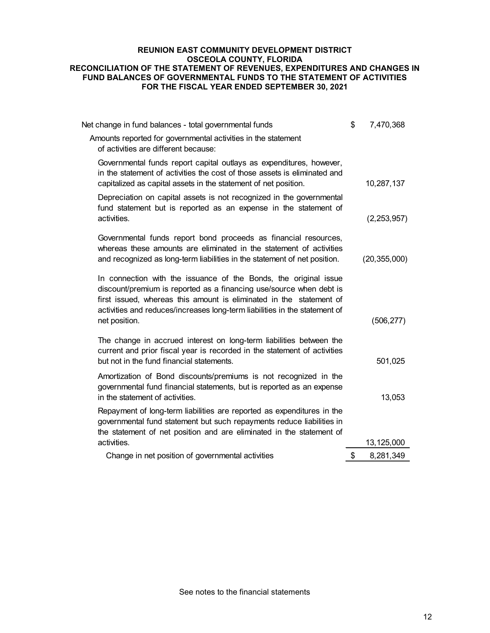## **REUNION EAST COMMUNITY DEVELOPMENT DISTRICT OSCEOLA COUNTY, FLORIDA RECONCILIATION OF THE STATEMENT OF REVENUES, EXPENDITURES AND CHANGES IN FUND BALANCES OF GOVERNMENTAL FUNDS TO THE STATEMENT OF ACTIVITIES FOR THE FISCAL YEAR ENDED SEPTEMBER 30, 2021**

| Net change in fund balances - total governmental funds                                                                                                                                                                                                                                                        | \$<br>7,470,368               |
|---------------------------------------------------------------------------------------------------------------------------------------------------------------------------------------------------------------------------------------------------------------------------------------------------------------|-------------------------------|
| Amounts reported for governmental activities in the statement<br>of activities are different because:                                                                                                                                                                                                         |                               |
| Governmental funds report capital outlays as expenditures, however,<br>in the statement of activities the cost of those assets is eliminated and<br>capitalized as capital assets in the statement of net position.                                                                                           | 10,287,137                    |
| Depreciation on capital assets is not recognized in the governmental<br>fund statement but is reported as an expense in the statement of<br>activities.                                                                                                                                                       | (2, 253, 957)                 |
|                                                                                                                                                                                                                                                                                                               |                               |
| Governmental funds report bond proceeds as financial resources,<br>whereas these amounts are eliminated in the statement of activities<br>and recognized as long-term liabilities in the statement of net position.                                                                                           | (20, 355, 000)                |
| In connection with the issuance of the Bonds, the original issue<br>discount/premium is reported as a financing use/source when debt is<br>first issued, whereas this amount is eliminated in the statement of<br>activities and reduces/increases long-term liabilities in the statement of<br>net position. | (506, 277)                    |
|                                                                                                                                                                                                                                                                                                               |                               |
| The change in accrued interest on long-term liabilities between the<br>current and prior fiscal year is recorded in the statement of activities<br>but not in the fund financial statements.                                                                                                                  | 501,025                       |
| Amortization of Bond discounts/premiums is not recognized in the<br>governmental fund financial statements, but is reported as an expense<br>in the statement of activities.                                                                                                                                  | 13,053                        |
| Repayment of long-term liabilities are reported as expenditures in the<br>governmental fund statement but such repayments reduce liabilities in<br>the statement of net position and are eliminated in the statement of                                                                                       |                               |
| activities.<br>Change in net position of governmental activities                                                                                                                                                                                                                                              | \$<br>13,125,000<br>8,281,349 |
|                                                                                                                                                                                                                                                                                                               |                               |

See notes to the financial statements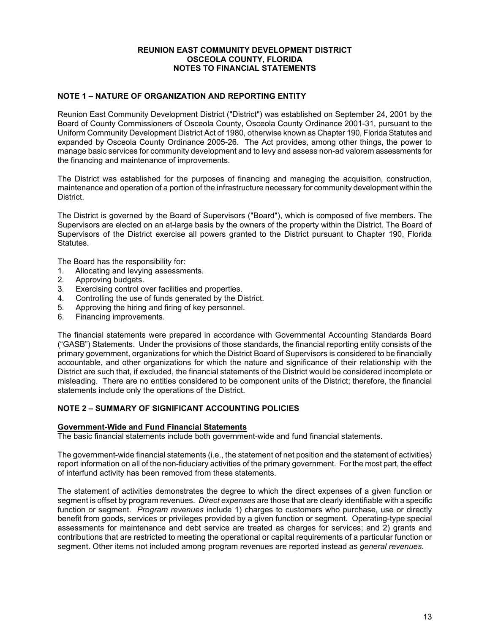# **REUNION EAST COMMUNITY DEVELOPMENT DISTRICT OSCEOLA COUNTY, FLORIDA NOTES TO FINANCIAL STATEMENTS**

# **NOTE 1 – NATURE OF ORGANIZATION AND REPORTING ENTITY**

Reunion East Community Development District ("District") was established on September 24, 2001 by the Board of County Commissioners of Osceola County, Osceola County Ordinance 2001-31, pursuant to the Uniform Community Development District Act of 1980, otherwise known as Chapter 190, Florida Statutes and expanded by Osceola County Ordinance 2005-26. The Act provides, among other things, the power to manage basic services for community development and to levy and assess non-ad valorem assessments for the financing and maintenance of improvements.

The District was established for the purposes of financing and managing the acquisition, construction, maintenance and operation of a portion of the infrastructure necessary for community development within the District.

The District is governed by the Board of Supervisors ("Board"), which is composed of five members. The Supervisors are elected on an at-large basis by the owners of the property within the District. The Board of Supervisors of the District exercise all powers granted to the District pursuant to Chapter 190, Florida Statutes.

The Board has the responsibility for:

- 1. Allocating and levying assessments.
- 2. Approving budgets.
- 3. Exercising control over facilities and properties.
- Controlling the use of funds generated by the District.
- 5. Approving the hiring and firing of key personnel.
- 6. Financing improvements.

The financial statements were prepared in accordance with Governmental Accounting Standards Board ("GASB") Statements. Under the provisions of those standards, the financial reporting entity consists of the primary government, organizations for which the District Board of Supervisors is considered to be financially accountable, and other organizations for which the nature and significance of their relationship with the District are such that, if excluded, the financial statements of the District would be considered incomplete or misleading. There are no entities considered to be component units of the District; therefore, the financial statements include only the operations of the District.

# **NOTE 2 – SUMMARY OF SIGNIFICANT ACCOUNTING POLICIES**

## **Government-Wide and Fund Financial Statements**

The basic financial statements include both government-wide and fund financial statements.

The government-wide financial statements (i.e., the statement of net position and the statement of activities) report information on all of the non-fiduciary activities of the primary government. For the most part, the effect of interfund activity has been removed from these statements.

The statement of activities demonstrates the degree to which the direct expenses of a given function or segment is offset by program revenues. *Direct expenses* are those that are clearly identifiable with a specific function or segment. *Program revenues* include 1) charges to customers who purchase, use or directly benefit from goods, services or privileges provided by a given function or segment. Operating-type special assessments for maintenance and debt service are treated as charges for services; and 2) grants and contributions that are restricted to meeting the operational or capital requirements of a particular function or segment. Other items not included among program revenues are reported instead as *general revenues*.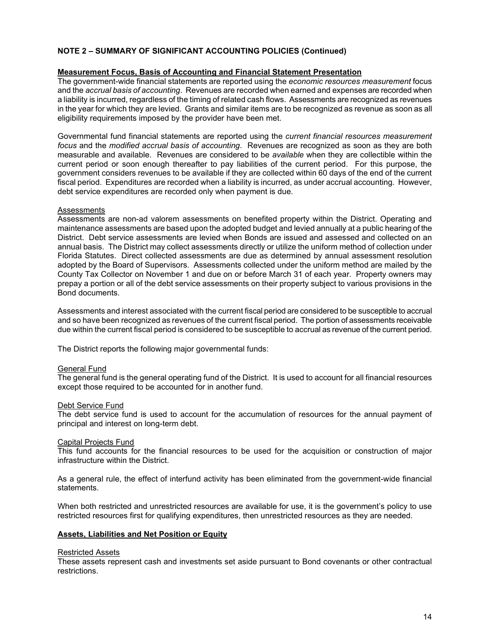## **Measurement Focus, Basis of Accounting and Financial Statement Presentation**

The government-wide financial statements are reported using the *economic resources measurement* focus and the *accrual basis of accounting*. Revenues are recorded when earned and expenses are recorded when a liability is incurred, regardless of the timing of related cash flows. Assessments are recognized as revenues in the year for which they are levied. Grants and similar items are to be recognized as revenue as soon as all eligibility requirements imposed by the provider have been met.

Governmental fund financial statements are reported using the *current financial resources measurement focus* and the *modified accrual basis of accounting*. Revenues are recognized as soon as they are both measurable and available. Revenues are considered to be *available* when they are collectible within the current period or soon enough thereafter to pay liabilities of the current period. For this purpose, the government considers revenues to be available if they are collected within 60 days of the end of the current fiscal period. Expenditures are recorded when a liability is incurred, as under accrual accounting. However, debt service expenditures are recorded only when payment is due.

#### Assessments

Assessments are non-ad valorem assessments on benefited property within the District. Operating and maintenance assessments are based upon the adopted budget and levied annually at a public hearing of the District. Debt service assessments are levied when Bonds are issued and assessed and collected on an annual basis. The District may collect assessments directly or utilize the uniform method of collection under Florida Statutes. Direct collected assessments are due as determined by annual assessment resolution adopted by the Board of Supervisors. Assessments collected under the uniform method are mailed by the County Tax Collector on November 1 and due on or before March 31 of each year. Property owners may prepay a portion or all of the debt service assessments on their property subject to various provisions in the Bond documents.

Assessments and interest associated with the current fiscal period are considered to be susceptible to accrual and so have been recognized as revenues of the current fiscal period. The portion of assessments receivable due within the current fiscal period is considered to be susceptible to accrual as revenue of the current period.

The District reports the following major governmental funds:

## General Fund

The general fund is the general operating fund of the District. It is used to account for all financial resources except those required to be accounted for in another fund.

#### Debt Service Fund

The debt service fund is used to account for the accumulation of resources for the annual payment of principal and interest on long-term debt.

#### Capital Projects Fund

This fund accounts for the financial resources to be used for the acquisition or construction of major infrastructure within the District.

As a general rule, the effect of interfund activity has been eliminated from the government-wide financial statements.

When both restricted and unrestricted resources are available for use, it is the government's policy to use restricted resources first for qualifying expenditures, then unrestricted resources as they are needed.

## **Assets, Liabilities and Net Position or Equity**

#### Restricted Assets

These assets represent cash and investments set aside pursuant to Bond covenants or other contractual restrictions.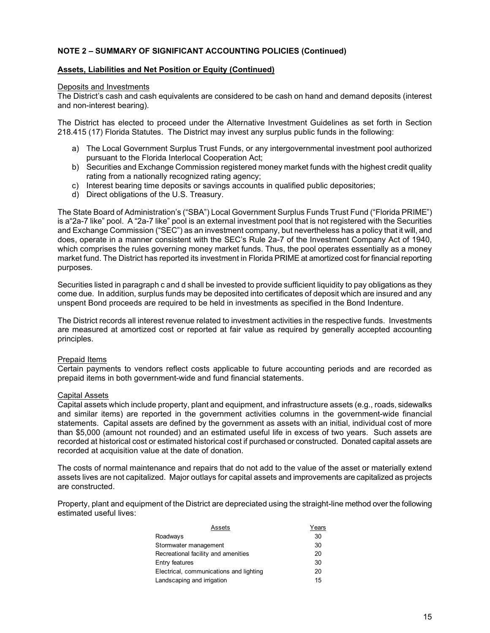#### **Assets, Liabilities and Net Position or Equity (Continued)**

#### Deposits and Investments

The District's cash and cash equivalents are considered to be cash on hand and demand deposits (interest and non-interest bearing).

The District has elected to proceed under the Alternative Investment Guidelines as set forth in Section 218.415 (17) Florida Statutes. The District may invest any surplus public funds in the following:

- a) The Local Government Surplus Trust Funds, or any intergovernmental investment pool authorized pursuant to the Florida Interlocal Cooperation Act;
- b) Securities and Exchange Commission registered money market funds with the highest credit quality rating from a nationally recognized rating agency;
- c) Interest bearing time deposits or savings accounts in qualified public depositories;
- d) Direct obligations of the U.S. Treasury.

The State Board of Administration's ("SBA") Local Government Surplus Funds Trust Fund ("Florida PRIME") is a"2a-7 like" pool. A "2a-7 like" pool is an external investment pool that is not registered with the Securities and Exchange Commission ("SEC") as an investment company, but nevertheless has a policy that it will, and does, operate in a manner consistent with the SEC's Rule 2a-7 of the Investment Company Act of 1940, which comprises the rules governing money market funds. Thus, the pool operates essentially as a money market fund. The District has reported its investment in Florida PRIME at amortized cost for financial reporting purposes.

Securities listed in paragraph c and d shall be invested to provide sufficient liquidity to pay obligations as they come due. In addition, surplus funds may be deposited into certificates of deposit which are insured and any unspent Bond proceeds are required to be held in investments as specified in the Bond Indenture.

The District records all interest revenue related to investment activities in the respective funds. Investments are measured at amortized cost or reported at fair value as required by generally accepted accounting principles.

#### Prepaid Items

Certain payments to vendors reflect costs applicable to future accounting periods and are recorded as prepaid items in both government-wide and fund financial statements.

#### Capital Assets

Capital assets which include property, plant and equipment, and infrastructure assets (e.g., roads, sidewalks and similar items) are reported in the government activities columns in the government-wide financial statements. Capital assets are defined by the government as assets with an initial, individual cost of more than \$5,000 (amount not rounded) and an estimated useful life in excess of two years. Such assets are recorded at historical cost or estimated historical cost if purchased or constructed. Donated capital assets are recorded at acquisition value at the date of donation.

The costs of normal maintenance and repairs that do not add to the value of the asset or materially extend assets lives are not capitalized. Major outlays for capital assets and improvements are capitalized as projects are constructed.

Property, plant and equipment of the District are depreciated using the straight-line method over the following estimated useful lives:

| Assets                                  | Years |
|-----------------------------------------|-------|
| Roadways                                | 30    |
| Stormwater management                   | 30    |
| Recreational facility and amenities     | 20    |
| Entry features                          | 30    |
| Electrical, communications and lighting | 20    |
| Landscaping and irrigation              | 15    |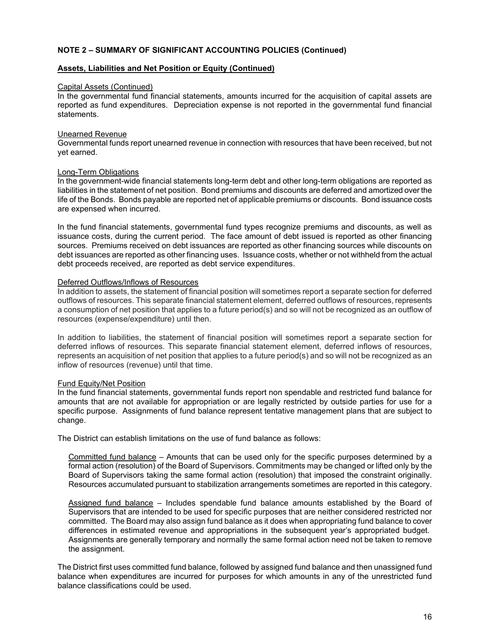#### **Assets, Liabilities and Net Position or Equity (Continued)**

#### Capital Assets (Continued)

In the governmental fund financial statements, amounts incurred for the acquisition of capital assets are reported as fund expenditures. Depreciation expense is not reported in the governmental fund financial statements.

#### Unearned Revenue

Governmental funds report unearned revenue in connection with resources that have been received, but not yet earned.

#### Long-Term Obligations

In the government-wide financial statements long-term debt and other long-term obligations are reported as liabilities in the statement of net position. Bond premiums and discounts are deferred and amortized over the life of the Bonds. Bonds payable are reported net of applicable premiums or discounts. Bond issuance costs are expensed when incurred.

In the fund financial statements, governmental fund types recognize premiums and discounts, as well as issuance costs, during the current period. The face amount of debt issued is reported as other financing sources. Premiums received on debt issuances are reported as other financing sources while discounts on debt issuances are reported as other financing uses. Issuance costs, whether or not withheld from the actual debt proceeds received, are reported as debt service expenditures.

#### Deferred Outflows/Inflows of Resources

In addition to assets, the statement of financial position will sometimes report a separate section for deferred outflows of resources. This separate financial statement element, deferred outflows of resources, represents a consumption of net position that applies to a future period(s) and so will not be recognized as an outflow of resources (expense/expenditure) until then.

In addition to liabilities, the statement of financial position will sometimes report a separate section for deferred inflows of resources. This separate financial statement element, deferred inflows of resources, represents an acquisition of net position that applies to a future period(s) and so will not be recognized as an inflow of resources (revenue) until that time.

## Fund Equity/Net Position

In the fund financial statements, governmental funds report non spendable and restricted fund balance for amounts that are not available for appropriation or are legally restricted by outside parties for use for a specific purpose. Assignments of fund balance represent tentative management plans that are subject to change.

The District can establish limitations on the use of fund balance as follows:

Committed fund balance – Amounts that can be used only for the specific purposes determined by a formal action (resolution) of the Board of Supervisors. Commitments may be changed or lifted only by the Board of Supervisors taking the same formal action (resolution) that imposed the constraint originally. Resources accumulated pursuant to stabilization arrangements sometimes are reported in this category.

Assigned fund balance – Includes spendable fund balance amounts established by the Board of Supervisors that are intended to be used for specific purposes that are neither considered restricted nor committed. The Board may also assign fund balance as it does when appropriating fund balance to cover differences in estimated revenue and appropriations in the subsequent year's appropriated budget. Assignments are generally temporary and normally the same formal action need not be taken to remove the assignment.

The District first uses committed fund balance, followed by assigned fund balance and then unassigned fund balance when expenditures are incurred for purposes for which amounts in any of the unrestricted fund balance classifications could be used.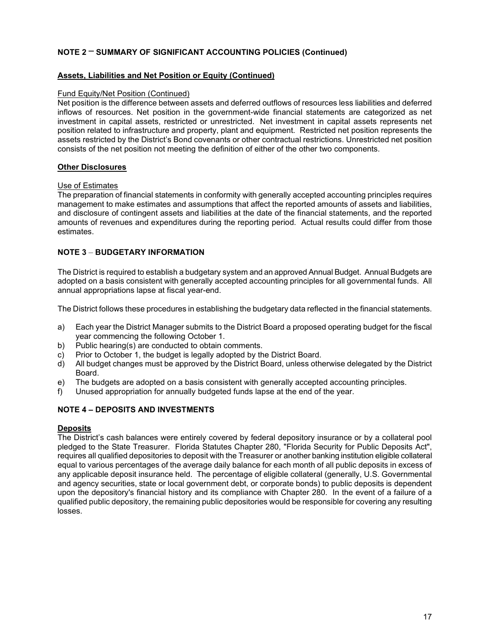# **Assets, Liabilities and Net Position or Equity (Continued)**

## Fund Equity/Net Position (Continued)

Net position is the difference between assets and deferred outflows of resources less liabilities and deferred inflows of resources. Net position in the government-wide financial statements are categorized as net investment in capital assets, restricted or unrestricted. Net investment in capital assets represents net position related to infrastructure and property, plant and equipment. Restricted net position represents the assets restricted by the District's Bond covenants or other contractual restrictions. Unrestricted net position consists of the net position not meeting the definition of either of the other two components.

# **Other Disclosures**

## Use of Estimates

The preparation of financial statements in conformity with generally accepted accounting principles requires management to make estimates and assumptions that affect the reported amounts of assets and liabilities, and disclosure of contingent assets and liabilities at the date of the financial statements, and the reported amounts of revenues and expenditures during the reporting period. Actual results could differ from those estimates.

# **NOTE 3** – **BUDGETARY INFORMATION**

The District is required to establish a budgetary system and an approved Annual Budget. Annual Budgets are adopted on a basis consistent with generally accepted accounting principles for all governmental funds. All annual appropriations lapse at fiscal year-end.

The District follows these procedures in establishing the budgetary data reflected in the financial statements.

- a) Each year the District Manager submits to the District Board a proposed operating budget for the fiscal year commencing the following October 1.
- b) Public hearing(s) are conducted to obtain comments.
- c) Prior to October 1, the budget is legally adopted by the District Board.
- d) All budget changes must be approved by the District Board, unless otherwise delegated by the District Board.
- e) The budgets are adopted on a basis consistent with generally accepted accounting principles.
- f) Unused appropriation for annually budgeted funds lapse at the end of the year.

# **NOTE 4 – DEPOSITS AND INVESTMENTS**

## **Deposits**

The District's cash balances were entirely covered by federal depository insurance or by a collateral pool pledged to the State Treasurer. Florida Statutes Chapter 280, "Florida Security for Public Deposits Act", requires all qualified depositories to deposit with the Treasurer or another banking institution eligible collateral equal to various percentages of the average daily balance for each month of all public deposits in excess of any applicable deposit insurance held. The percentage of eligible collateral (generally, U.S. Governmental and agency securities, state or local government debt, or corporate bonds) to public deposits is dependent upon the depository's financial history and its compliance with Chapter 280. In the event of a failure of a qualified public depository, the remaining public depositories would be responsible for covering any resulting losses.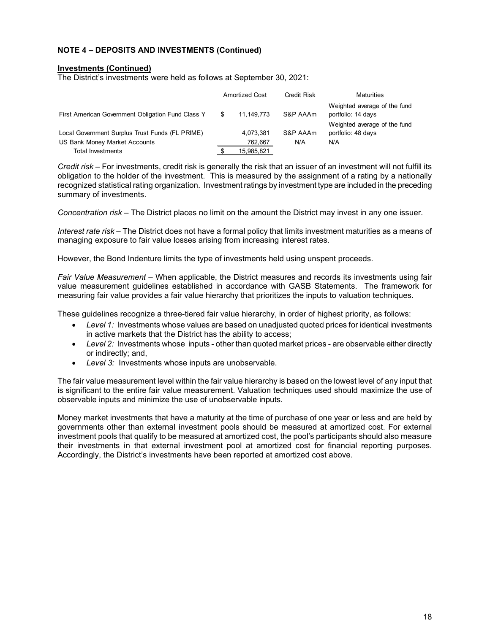# **NOTE 4 – DEPOSITS AND INVESTMENTS (Continued)**

# **Investments (Continued)**

The District's investments were held as follows at September 30, 2021:

|                                                   |  | Amortized Cost | <b>Credit Risk</b> | <b>Maturities</b>                                  |
|---------------------------------------------------|--|----------------|--------------------|----------------------------------------------------|
| First American Government Obligation Fund Class Y |  | 11.149.773     | S&P AAAm           | Weighted average of the fund<br>portfolio: 14 days |
|                                                   |  |                |                    | Weighted average of the fund                       |
| Local Government Surplus Trust Funds (FL PRIME)   |  | 4.073.381      | S&P AAAm           | portfolio: 48 days                                 |
| US Bank Money Market Accounts                     |  | 762,667        | N/A                | N/A                                                |
| <b>Total Investments</b>                          |  | 15,985,821     |                    |                                                    |

*Credit risk –* For investments, credit risk is generally the risk that an issuer of an investment will not fulfill its obligation to the holder of the investment. This is measured by the assignment of a rating by a nationally recognized statistical rating organization. Investment ratings by investment type are included in the preceding summary of investments.

*Concentration risk –* The District places no limit on the amount the District may invest in any one issuer.

*Interest rate risk –* The District does not have a formal policy that limits investment maturities as a means of managing exposure to fair value losses arising from increasing interest rates.

However, the Bond Indenture limits the type of investments held using unspent proceeds.

*Fair Value Measurement –* When applicable, the District measures and records its investments using fair value measurement guidelines established in accordance with GASB Statements. The framework for measuring fair value provides a fair value hierarchy that prioritizes the inputs to valuation techniques.

These guidelines recognize a three-tiered fair value hierarchy, in order of highest priority, as follows:

- *Level 1:* Investments whose values are based on unadjusted quoted prices for identical investments in active markets that the District has the ability to access;
- Level 2: Investments whose inputs other than quoted market prices are observable either directly or indirectly; and,
- *Level 3:* Investments whose inputs are unobservable.

The fair value measurement level within the fair value hierarchy is based on the lowest level of any input that is significant to the entire fair value measurement. Valuation techniques used should maximize the use of observable inputs and minimize the use of unobservable inputs.

Money market investments that have a maturity at the time of purchase of one year or less and are held by governments other than external investment pools should be measured at amortized cost. For external investment pools that qualify to be measured at amortized cost, the pool's participants should also measure their investments in that external investment pool at amortized cost for financial reporting purposes. Accordingly, the District's investments have been reported at amortized cost above.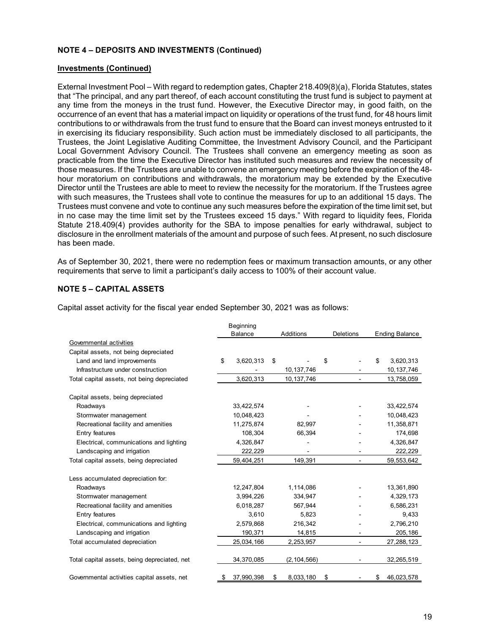# **NOTE 4 – DEPOSITS AND INVESTMENTS (Continued)**

## **Investments (Continued)**

External Investment Pool – With regard to redemption gates, Chapter 218.409(8)(a), Florida Statutes, states that "The principal, and any part thereof, of each account constituting the trust fund is subject to payment at any time from the moneys in the trust fund. However, the Executive Director may, in good faith, on the occurrence of an event that has a material impact on liquidity or operations of the trust fund, for 48 hours limit contributions to or withdrawals from the trust fund to ensure that the Board can invest moneys entrusted to it in exercising its fiduciary responsibility. Such action must be immediately disclosed to all participants, the Trustees, the Joint Legislative Auditing Committee, the Investment Advisory Council, and the Participant Local Government Advisory Council. The Trustees shall convene an emergency meeting as soon as practicable from the time the Executive Director has instituted such measures and review the necessity of those measures. If the Trustees are unable to convene an emergency meeting before the expiration of the 48 hour moratorium on contributions and withdrawals, the moratorium may be extended by the Executive Director until the Trustees are able to meet to review the necessity for the moratorium. If the Trustees agree with such measures, the Trustees shall vote to continue the measures for up to an additional 15 days. The Trustees must convene and vote to continue any such measures before the expiration of the time limit set, but in no case may the time limit set by the Trustees exceed 15 days." With regard to liquidity fees, Florida Statute 218.409(4) provides authority for the SBA to impose penalties for early withdrawal, subject to disclosure in the enrollment materials of the amount and purpose of such fees. At present, no such disclosure has been made.

As of September 30, 2021, there were no redemption fees or maximum transaction amounts, or any other requirements that serve to limit a participant's daily access to 100% of their account value.

## **NOTE 5 – CAPITAL ASSETS**

Capital asset activity for the fiscal year ended September 30, 2021 was as follows:

|                                              | Beginning<br><b>Balance</b> |            |    | Additions     |    | <b>Deletions</b> |    | <b>Ending Balance</b> |
|----------------------------------------------|-----------------------------|------------|----|---------------|----|------------------|----|-----------------------|
| Governmental activities                      |                             |            |    |               |    |                  |    |                       |
| Capital assets, not being depreciated        |                             |            |    |               |    |                  |    |                       |
| Land and land improvements                   | \$                          | 3,620,313  | \$ |               | \$ |                  | S. | 3,620,313             |
| Infrastructure under construction            |                             |            |    | 10, 137, 746  |    |                  |    | 10, 137, 746          |
| Total capital assets, not being depreciated  |                             | 3,620,313  |    | 10, 137, 746  |    |                  |    | 13,758,059            |
| Capital assets, being depreciated            |                             |            |    |               |    |                  |    |                       |
| Roadways                                     |                             | 33,422,574 |    |               |    |                  |    | 33,422,574            |
| Stormwater management                        |                             | 10,048,423 |    |               |    |                  |    | 10,048,423            |
| Recreational facility and amenities          |                             | 11,275,874 |    | 82,997        |    |                  |    | 11,358,871            |
| Entry features                               |                             | 108,304    |    | 66,394        |    |                  |    | 174,698               |
| Electrical, communications and lighting      |                             | 4,326,847  |    |               |    |                  |    | 4,326,847             |
| Landscaping and irrigation                   |                             | 222,229    |    |               |    |                  |    | 222,229               |
| Total capital assets, being depreciated      |                             | 59,404,251 |    | 149,391       |    |                  |    | 59,553,642            |
| Less accumulated depreciation for:           |                             |            |    |               |    |                  |    |                       |
| Roadways                                     |                             | 12,247,804 |    | 1,114,086     |    |                  |    | 13,361,890            |
| Stormwater management                        |                             | 3,994,226  |    | 334,947       |    |                  |    | 4,329,173             |
| Recreational facility and amenities          |                             | 6,018,287  |    | 567,944       |    |                  |    | 6,586,231             |
| Entry features                               |                             | 3,610      |    | 5,823         |    |                  |    | 9,433                 |
| Electrical, communications and lighting      |                             | 2,579,868  |    | 216,342       |    |                  |    | 2,796,210             |
| Landscaping and irrigation                   |                             | 190,371    |    | 14,815        |    |                  |    | 205,186               |
| Total accumulated depreciation               |                             | 25,034,166 |    | 2,253,957     |    |                  |    | 27,288,123            |
| Total capital assets, being depreciated, net |                             | 34,370,085 |    | (2, 104, 566) |    |                  |    | 32,265,519            |
| Governmental activities capital assets, net  |                             | 37,990,398 | S  | 8,033,180     | \$ |                  |    | 46,023,578            |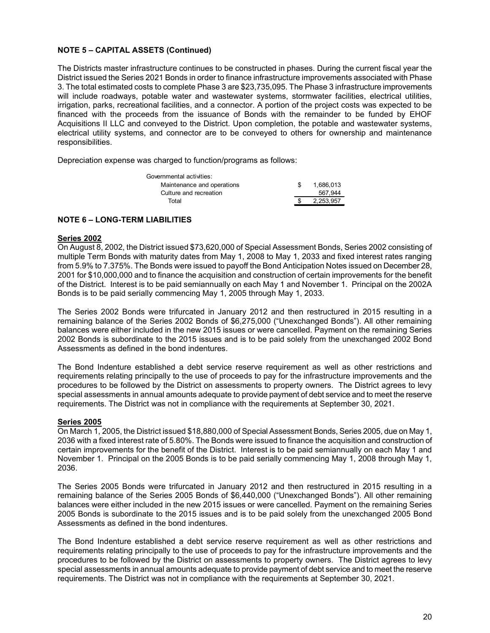# **NOTE 5 – CAPITAL ASSETS (Continued)**

The Districts master infrastructure continues to be constructed in phases. During the current fiscal year the District issued the Series 2021 Bonds in order to finance infrastructure improvements associated with Phase 3. The total estimated costs to complete Phase 3 are \$23,735,095. The Phase 3 infrastructure improvements will include roadways, potable water and wastewater systems, stormwater facilities, electrical utilities, irrigation, parks, recreational facilities, and a connector. A portion of the project costs was expected to be financed with the proceeds from the issuance of Bonds with the remainder to be funded by EHOF Acquisitions II LLC and conveyed to the District. Upon completion, the potable and wastewater systems, electrical utility systems, and connector are to be conveyed to others for ownership and maintenance responsibilities.

Depreciation expense was charged to function/programs as follows:

| Governmental activities:   |  |           |  |  |  |  |
|----------------------------|--|-----------|--|--|--|--|
| Maintenance and operations |  | 1.686.013 |  |  |  |  |
| Culture and recreation     |  | 567.944   |  |  |  |  |
| Total                      |  | 2.253.957 |  |  |  |  |

# **NOTE 6 – LONG-TERM LIABILITIES**

## **Series 2002**

On August 8, 2002, the District issued \$73,620,000 of Special Assessment Bonds, Series 2002 consisting of multiple Term Bonds with maturity dates from May 1, 2008 to May 1, 2033 and fixed interest rates ranging from 5.9% to 7.375%. The Bonds were issued to payoff the Bond Anticipation Notes issued on December 28, 2001 for \$10,000,000 and to finance the acquisition and construction of certain improvements for the benefit of the District. Interest is to be paid semiannually on each May 1 and November 1. Principal on the 2002A Bonds is to be paid serially commencing May 1, 2005 through May 1, 2033.

The Series 2002 Bonds were trifurcated in January 2012 and then restructured in 2015 resulting in a remaining balance of the Series 2002 Bonds of \$6,275,000 ("Unexchanged Bonds"). All other remaining balances were either included in the new 2015 issues or were cancelled. Payment on the remaining Series 2002 Bonds is subordinate to the 2015 issues and is to be paid solely from the unexchanged 2002 Bond Assessments as defined in the bond indentures.

The Bond Indenture established a debt service reserve requirement as well as other restrictions and requirements relating principally to the use of proceeds to pay for the infrastructure improvements and the procedures to be followed by the District on assessments to property owners. The District agrees to levy special assessments in annual amounts adequate to provide payment of debt service and to meet the reserve requirements. The District was not in compliance with the requirements at September 30, 2021.

## **Series 2005**

On March 1, 2005, the District issued \$18,880,000 of Special Assessment Bonds, Series 2005, due on May 1, 2036 with a fixed interest rate of 5.80%. The Bonds were issued to finance the acquisition and construction of certain improvements for the benefit of the District. Interest is to be paid semiannually on each May 1 and November 1. Principal on the 2005 Bonds is to be paid serially commencing May 1, 2008 through May 1, 2036.

The Series 2005 Bonds were trifurcated in January 2012 and then restructured in 2015 resulting in a remaining balance of the Series 2005 Bonds of \$6,440,000 ("Unexchanged Bonds"). All other remaining balances were either included in the new 2015 issues or were cancelled. Payment on the remaining Series 2005 Bonds is subordinate to the 2015 issues and is to be paid solely from the unexchanged 2005 Bond Assessments as defined in the bond indentures.

The Bond Indenture established a debt service reserve requirement as well as other restrictions and requirements relating principally to the use of proceeds to pay for the infrastructure improvements and the procedures to be followed by the District on assessments to property owners. The District agrees to levy special assessments in annual amounts adequate to provide payment of debt service and to meet the reserve requirements. The District was not in compliance with the requirements at September 30, 2021.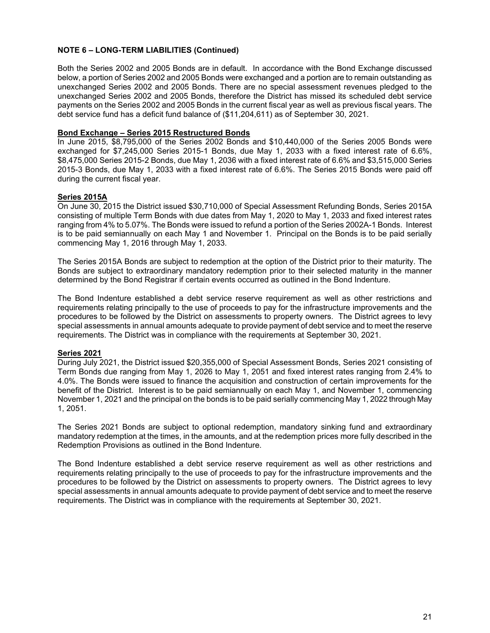# **NOTE 6 – LONG-TERM LIABILITIES (Continued)**

Both the Series 2002 and 2005 Bonds are in default. In accordance with the Bond Exchange discussed below, a portion of Series 2002 and 2005 Bonds were exchanged and a portion are to remain outstanding as unexchanged Series 2002 and 2005 Bonds. There are no special assessment revenues pledged to the unexchanged Series 2002 and 2005 Bonds, therefore the District has missed its scheduled debt service payments on the Series 2002 and 2005 Bonds in the current fiscal year as well as previous fiscal years. The debt service fund has a deficit fund balance of (\$11,204,611) as of September 30, 2021.

## **Bond Exchange – Series 2015 Restructured Bonds**

In June 2015, \$8,795,000 of the Series 2002 Bonds and \$10,440,000 of the Series 2005 Bonds were exchanged for \$7,245,000 Series 2015-1 Bonds, due May 1, 2033 with a fixed interest rate of 6.6%, \$8,475,000 Series 2015-2 Bonds, due May 1, 2036 with a fixed interest rate of 6.6% and \$3,515,000 Series 2015-3 Bonds, due May 1, 2033 with a fixed interest rate of 6.6%. The Series 2015 Bonds were paid off during the current fiscal year.

# **Series 2015A**

On June 30, 2015 the District issued \$30,710,000 of Special Assessment Refunding Bonds, Series 2015A consisting of multiple Term Bonds with due dates from May 1, 2020 to May 1, 2033 and fixed interest rates ranging from 4% to 5.07%. The Bonds were issued to refund a portion of the Series 2002A-1 Bonds. Interest is to be paid semiannually on each May 1 and November 1. Principal on the Bonds is to be paid serially commencing May 1, 2016 through May 1, 2033.

The Series 2015A Bonds are subject to redemption at the option of the District prior to their maturity. The Bonds are subject to extraordinary mandatory redemption prior to their selected maturity in the manner determined by the Bond Registrar if certain events occurred as outlined in the Bond Indenture.

The Bond Indenture established a debt service reserve requirement as well as other restrictions and requirements relating principally to the use of proceeds to pay for the infrastructure improvements and the procedures to be followed by the District on assessments to property owners. The District agrees to levy special assessments in annual amounts adequate to provide payment of debt service and to meet the reserve requirements. The District was in compliance with the requirements at September 30, 2021.

## **Series 2021**

During July 2021, the District issued \$20,355,000 of Special Assessment Bonds, Series 2021 consisting of Term Bonds due ranging from May 1, 2026 to May 1, 2051 and fixed interest rates ranging from 2.4% to 4.0%. The Bonds were issued to finance the acquisition and construction of certain improvements for the benefit of the District. Interest is to be paid semiannually on each May 1, and November 1, commencing November 1, 2021 and the principal on the bonds is to be paid serially commencing May 1, 2022 through May 1, 2051.

The Series 2021 Bonds are subject to optional redemption, mandatory sinking fund and extraordinary mandatory redemption at the times, in the amounts, and at the redemption prices more fully described in the Redemption Provisions as outlined in the Bond Indenture.

The Bond Indenture established a debt service reserve requirement as well as other restrictions and requirements relating principally to the use of proceeds to pay for the infrastructure improvements and the procedures to be followed by the District on assessments to property owners. The District agrees to levy special assessments in annual amounts adequate to provide payment of debt service and to meet the reserve requirements. The District was in compliance with the requirements at September 30, 2021.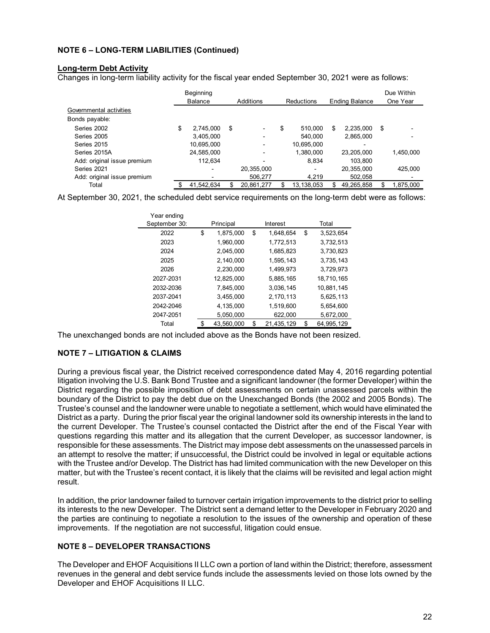# **NOTE 6 – LONG-TERM LIABILITIES (Continued)**

## **Long-term Debt Activity**

Changes in long-term liability activity for the fiscal year ended September 30, 2021 were as follows:

|                             | Beginning      |            |           |            |   |            |   |                       | Due Within |           |  |
|-----------------------------|----------------|------------|-----------|------------|---|------------|---|-----------------------|------------|-----------|--|
|                             | <b>Balance</b> |            | Additions |            |   | Reductions |   | <b>Ending Balance</b> |            | One Year  |  |
| Governmental activities     |                |            |           |            |   |            |   |                       |            |           |  |
| Bonds payable:              |                |            |           |            |   |            |   |                       |            |           |  |
| Series 2002                 | \$             | 2,745,000  | \$        | -          | S | 510.000    | S | 2.235.000             | \$         |           |  |
| Series 2005                 |                | 3,405,000  |           |            |   | 540,000    |   | 2,865,000             |            |           |  |
| Series 2015                 |                | 10,695,000 |           | ۰          |   | 10,695,000 |   |                       |            |           |  |
| Series 2015A                |                | 24,585,000 |           |            |   | 1,380,000  |   | 23,205,000            |            | 1,450,000 |  |
| Add: original issue premium |                | 112,634    |           |            |   | 8,834      |   | 103.800               |            |           |  |
| Series 2021                 |                |            |           | 20,355,000 |   |            |   | 20,355,000            |            | 425.000   |  |
| Add: original issue premium |                |            |           | 506,277    |   | 4.219      |   | 502,058               |            |           |  |
| Total                       |                | 41,542,634 |           | 20,861,277 |   | 13,138,053 | S | 49,265,858            | S          | 1,875,000 |  |

At September 30, 2021, the scheduled debt service requirements on the long-term debt were as follows:

| Year ending   |           |            |                 |            |       |            |
|---------------|-----------|------------|-----------------|------------|-------|------------|
| September 30: | Principal |            | <b>Interest</b> |            | Total |            |
| 2022          | \$        | 1,875,000  | \$              | 1,648,654  | \$    | 3,523,654  |
| 2023          |           | 1,960,000  |                 | 1,772,513  |       | 3,732,513  |
| 2024          |           | 2,045,000  |                 | 1,685,823  |       | 3,730,823  |
| 2025          |           | 2,140,000  |                 | 1,595,143  |       | 3,735,143  |
| 2026          |           | 2,230,000  |                 | 1,499,973  |       | 3,729,973  |
| 2027-2031     |           | 12,825,000 |                 | 5,885,165  |       | 18,710,165 |
| 2032-2036     |           | 7,845,000  |                 | 3,036,145  |       | 10,881,145 |
| 2037-2041     |           | 3,455,000  |                 | 2,170,113  |       | 5,625,113  |
| 2042-2046     |           | 4,135,000  |                 | 1,519,600  |       | 5,654,600  |
| 2047-2051     |           | 5,050,000  |                 | 622,000    |       | 5,672,000  |
| Total         | \$        | 43,560,000 | \$              | 21,435,129 | \$    | 64,995,129 |
|               |           |            |                 |            |       |            |

The unexchanged bonds are not included above as the Bonds have not been resized.

# **NOTE 7 – LITIGATION & CLAIMS**

During a previous fiscal year, the District received correspondence dated May 4, 2016 regarding potential litigation involving the U.S. Bank Bond Trustee and a significant landowner (the former Developer) within the District regarding the possible imposition of debt assessments on certain unassessed parcels within the boundary of the District to pay the debt due on the Unexchanged Bonds (the 2002 and 2005 Bonds). The Trustee's counsel and the landowner were unable to negotiate a settlement, which would have eliminated the District as a party. During the prior fiscal year the original landowner sold its ownership interests in the land to the current Developer. The Trustee's counsel contacted the District after the end of the Fiscal Year with questions regarding this matter and its allegation that the current Developer, as successor landowner, is responsible for these assessments. The District may impose debt assessments on the unassessed parcels in an attempt to resolve the matter; if unsuccessful, the District could be involved in legal or equitable actions with the Trustee and/or Develop. The District has had limited communication with the new Developer on this matter, but with the Trustee's recent contact, it is likely that the claims will be revisited and legal action might result.

In addition, the prior landowner failed to turnover certain irrigation improvements to the district prior to selling its interests to the new Developer. The District sent a demand letter to the Developer in February 2020 and the parties are continuing to negotiate a resolution to the issues of the ownership and operation of these improvements. If the negotiation are not successful, litigation could ensue.

# **NOTE 8 – DEVELOPER TRANSACTIONS**

The Developer and EHOF Acquisitions II LLC own a portion of land within the District; therefore, assessment revenues in the general and debt service funds include the assessments levied on those lots owned by the Developer and EHOF Acquisitions II LLC.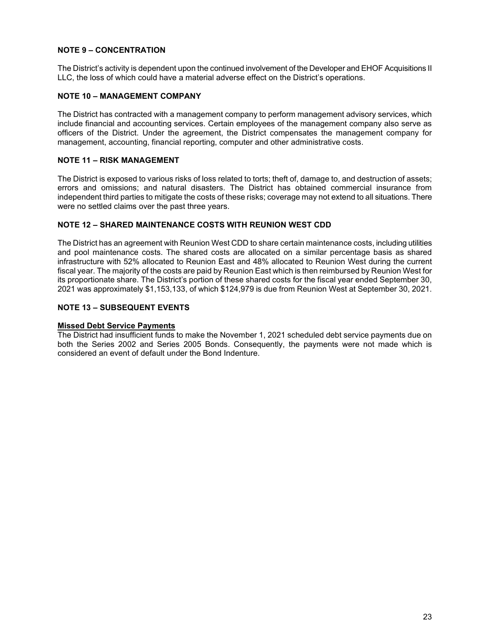# **NOTE 9 – CONCENTRATION**

The District's activity is dependent upon the continued involvement of the Developer and EHOF Acquisitions II LLC, the loss of which could have a material adverse effect on the District's operations.

# **NOTE 10 – MANAGEMENT COMPANY**

The District has contracted with a management company to perform management advisory services, which include financial and accounting services. Certain employees of the management company also serve as officers of the District. Under the agreement, the District compensates the management company for management, accounting, financial reporting, computer and other administrative costs.

# **NOTE 11 – RISK MANAGEMENT**

The District is exposed to various risks of loss related to torts; theft of, damage to, and destruction of assets; errors and omissions; and natural disasters. The District has obtained commercial insurance from independent third parties to mitigate the costs of these risks; coverage may not extend to all situations. There were no settled claims over the past three years.

# **NOTE 12 – SHARED MAINTENANCE COSTS WITH REUNION WEST CDD**

The District has an agreement with Reunion West CDD to share certain maintenance costs, including utilities and pool maintenance costs. The shared costs are allocated on a similar percentage basis as shared infrastructure with 52% allocated to Reunion East and 48% allocated to Reunion West during the current fiscal year. The majority of the costs are paid by Reunion East which is then reimbursed by Reunion West for its proportionate share. The District's portion of these shared costs for the fiscal year ended September 30, 2021 was approximately \$1,153,133, of which \$124,979 is due from Reunion West at September 30, 2021.

# **NOTE 13 – SUBSEQUENT EVENTS**

## **Missed Debt Service Payments**

The District had insufficient funds to make the November 1, 2021 scheduled debt service payments due on both the Series 2002 and Series 2005 Bonds. Consequently, the payments were not made which is considered an event of default under the Bond Indenture.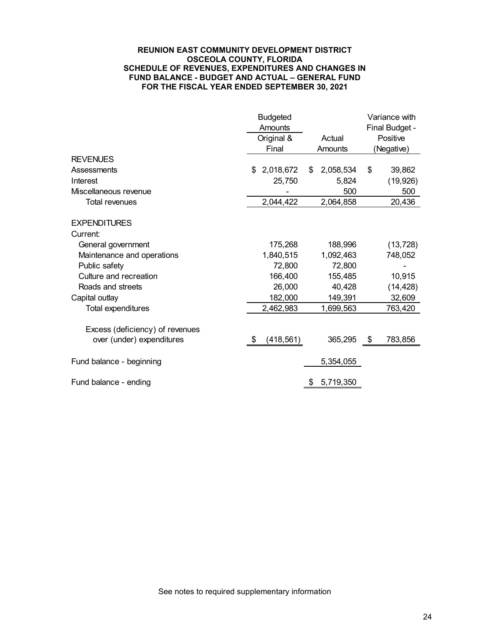## **REUNION EAST COMMUNITY DEVELOPMENT DISTRICT OSCEOLA COUNTY, FLORIDA SCHEDULE OF REVENUES, EXPENDITURES AND CHANGES IN FUND BALANCE - BUDGET AND ACTUAL – GENERAL FUND FOR THE FISCAL YEAR ENDED SEPTEMBER 30, 2021**

|                                 | <b>Budgeted</b><br>Amounts |                 | Variance with<br>Final Budget - |  |
|---------------------------------|----------------------------|-----------------|---------------------------------|--|
|                                 | Original &                 | Actual          | Positive                        |  |
|                                 | Final                      | Amounts         | (Negative)                      |  |
| <b>REVENUES</b>                 |                            |                 |                                 |  |
| Assessments                     | 2,018,672<br>\$            | 2,058,534<br>\$ | \$<br>39,862                    |  |
| Interest                        | 25,750                     | 5,824           | (19, 926)                       |  |
| Miscellaneous revenue           |                            | 500             | 500                             |  |
| <b>Total revenues</b>           | 2,044,422                  | 2,064,858       | 20,436                          |  |
| <b>EXPENDITURES</b>             |                            |                 |                                 |  |
| Current:                        |                            |                 |                                 |  |
| General government              | 175,268                    | 188,996         | (13, 728)                       |  |
| Maintenance and operations      | 1,840,515                  | 1,092,463       | 748,052                         |  |
| Public safety                   | 72,800                     | 72,800          |                                 |  |
| Culture and recreation          | 166,400                    | 155,485         | 10,915                          |  |
| Roads and streets               | 26,000                     | 40,428          | (14, 428)                       |  |
| Capital outlay                  | 182,000                    | 149,391         | 32,609                          |  |
| Total expenditures              | 2,462,983                  | 1,699,563       | 763,420                         |  |
|                                 |                            |                 |                                 |  |
| Excess (deficiency) of revenues | S                          |                 | 783,856                         |  |
| over (under) expenditures       | (418, 561)                 | 365,295         | $\mathfrak s$                   |  |
| Fund balance - beginning        |                            | 5,354,055       |                                 |  |
| Fund balance - ending           |                            | 5,719,350<br>\$ |                                 |  |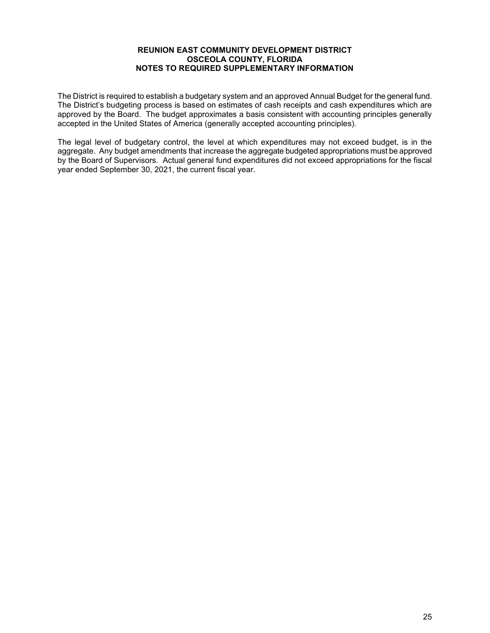# **REUNION EAST COMMUNITY DEVELOPMENT DISTRICT OSCEOLA COUNTY, FLORIDA NOTES TO REQUIRED SUPPLEMENTARY INFORMATION**

The District is required to establish a budgetary system and an approved Annual Budget for the general fund. The District's budgeting process is based on estimates of cash receipts and cash expenditures which are approved by the Board. The budget approximates a basis consistent with accounting principles generally accepted in the United States of America (generally accepted accounting principles).

The legal level of budgetary control, the level at which expenditures may not exceed budget, is in the aggregate. Any budget amendments that increase the aggregate budgeted appropriations must be approved by the Board of Supervisors. Actual general fund expenditures did not exceed appropriations for the fiscal year ended September 30, 2021, the current fiscal year.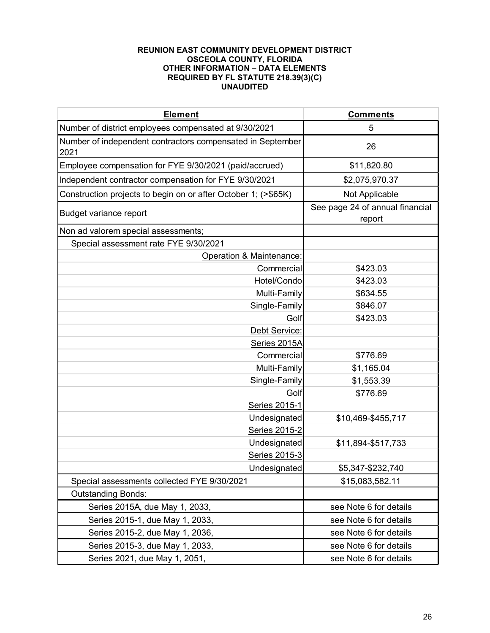## **REUNION EAST COMMUNITY DEVELOPMENT DISTRICT OSCEOLA COUNTY, FLORIDA OTHER INFORMATION – DATA ELEMENTS REQUIRED BY FL STATUTE 218.39(3)(C) UNAUDITED**

| <b>Element</b>                                                     | <b>Comments</b>                           |  |  |  |
|--------------------------------------------------------------------|-------------------------------------------|--|--|--|
| Number of district employees compensated at 9/30/2021              | 5                                         |  |  |  |
| Number of independent contractors compensated in September<br>2021 | 26                                        |  |  |  |
| Employee compensation for FYE 9/30/2021 (paid/accrued)             | \$11,820.80                               |  |  |  |
| Independent contractor compensation for FYE 9/30/2021              | \$2,075,970.37                            |  |  |  |
| Construction projects to begin on or after October 1; (>\$65K)     | Not Applicable                            |  |  |  |
| Budget variance report                                             | See page 24 of annual financial<br>report |  |  |  |
| Non ad valorem special assessments;                                |                                           |  |  |  |
| Special assessment rate FYE 9/30/2021                              |                                           |  |  |  |
| Operation & Maintenance:                                           |                                           |  |  |  |
| Commercial                                                         | \$423.03                                  |  |  |  |
| Hotel/Condo                                                        | \$423.03                                  |  |  |  |
| Multi-Family                                                       | \$634.55                                  |  |  |  |
| Single-Family                                                      | \$846.07                                  |  |  |  |
| Golf                                                               | \$423.03                                  |  |  |  |
| Debt Service:                                                      |                                           |  |  |  |
| Series 2015A                                                       |                                           |  |  |  |
| Commercial                                                         | \$776.69                                  |  |  |  |
| Multi-Family                                                       | \$1,165.04                                |  |  |  |
| Single-Family                                                      | \$1,553.39                                |  |  |  |
| Golf                                                               | \$776.69                                  |  |  |  |
| Series 2015-1                                                      |                                           |  |  |  |
| Undesignated                                                       | \$10,469-\$455,717                        |  |  |  |
| <b>Series 2015-2</b>                                               |                                           |  |  |  |
| Undesignated                                                       | \$11,894-\$517,733                        |  |  |  |
| Series 2015-3                                                      |                                           |  |  |  |
| Undesignated                                                       | \$5,347-\$232,740                         |  |  |  |
| Special assessments collected FYE 9/30/2021                        | \$15,083,582.11                           |  |  |  |
| <b>Outstanding Bonds:</b>                                          |                                           |  |  |  |
| Series 2015A, due May 1, 2033,                                     | see Note 6 for details                    |  |  |  |
| Series 2015-1, due May 1, 2033,                                    | see Note 6 for details                    |  |  |  |
| Series 2015-2, due May 1, 2036,                                    | see Note 6 for details                    |  |  |  |
| Series 2015-3, due May 1, 2033,                                    | see Note 6 for details                    |  |  |  |
| Series 2021, due May 1, 2051,                                      | see Note 6 for details                    |  |  |  |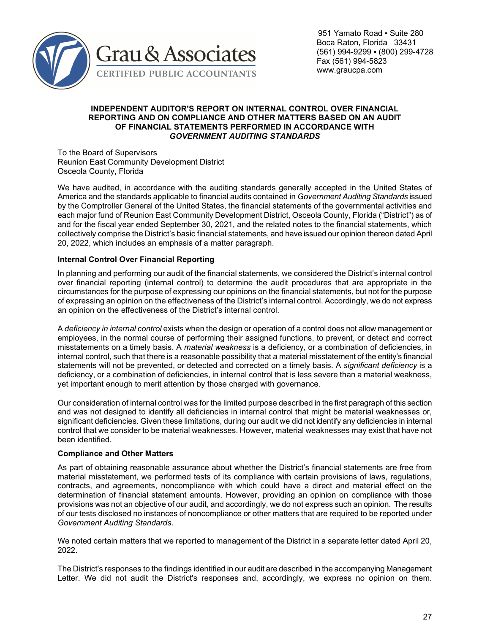

# **INDEPENDENT AUDITOR'S REPORT ON INTERNAL CONTROL OVER FINANCIAL REPORTING AND ON COMPLIANCE AND OTHER MATTERS BASED ON AN AUDIT OF FINANCIAL STATEMENTS PERFORMED IN ACCORDANCE WITH** *GOVERNMENT AUDITING STANDARDS*

To the Board of Supervisors Reunion East Community Development District Osceola County, Florida

We have audited, in accordance with the auditing standards generally accepted in the United States of America and the standards applicable to financial audits contained in *Government Auditing Standards* issued by the Comptroller General of the United States, the financial statements of the governmental activities and each major fund of Reunion East Community Development District, Osceola County, Florida ("District") as of and for the fiscal year ended September 30, 2021, and the related notes to the financial statements, which collectively comprise the District's basic financial statements, and have issued our opinion thereon dated April 20, 2022, which includes an emphasis of a matter paragraph.

# **Internal Control Over Financial Reporting**

In planning and performing our audit of the financial statements, we considered the District's internal control over financial reporting (internal control) to determine the audit procedures that are appropriate in the circumstances for the purpose of expressing our opinions on the financial statements, but not for the purpose of expressing an opinion on the effectiveness of the District's internal control. Accordingly, we do not express an opinion on the effectiveness of the District's internal control.

A *deficiency in internal control* exists when the design or operation of a control does not allow management or employees, in the normal course of performing their assigned functions, to prevent, or detect and correct misstatements on a timely basis. A *material weakness* is a deficiency, or a combination of deficiencies, in internal control, such that there is a reasonable possibility that a material misstatement of the entity's financial statements will not be prevented, or detected and corrected on a timely basis. A *significant deficiency* is a deficiency, or a combination of deficiencies, in internal control that is less severe than a material weakness, yet important enough to merit attention by those charged with governance.

Our consideration of internal control was for the limited purpose described in the first paragraph of this section and was not designed to identify all deficiencies in internal control that might be material weaknesses or, significant deficiencies. Given these limitations, during our audit we did not identify any deficiencies in internal control that we consider to be material weaknesses. However, material weaknesses may exist that have not been identified.

## **Compliance and Other Matters**

As part of obtaining reasonable assurance about whether the District's financial statements are free from material misstatement, we performed tests of its compliance with certain provisions of laws, regulations, contracts, and agreements, noncompliance with which could have a direct and material effect on the determination of financial statement amounts. However, providing an opinion on compliance with those provisions was not an objective of our audit, and accordingly, we do not express such an opinion. The results of our tests disclosed no instances of noncompliance or other matters that are required to be reported under *Government Auditing Standards*.

We noted certain matters that we reported to management of the District in a separate letter dated April 20, 2022.

The District's responses to the findings identified in our audit are described in the accompanying Management Letter. We did not audit the District's responses and, accordingly, we express no opinion on them.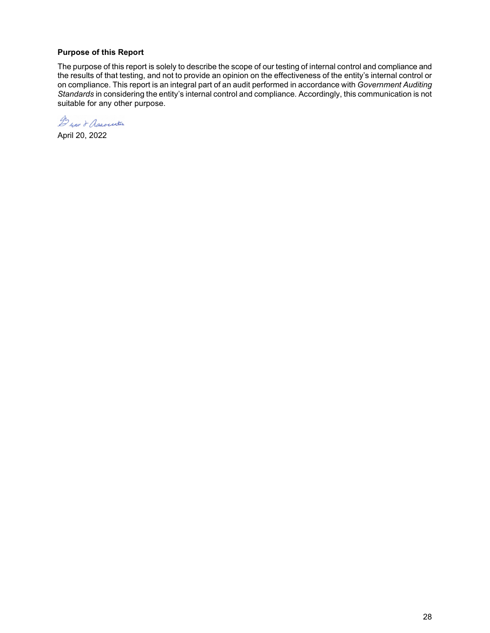# **Purpose of this Report**

The purpose of this report is solely to describe the scope of our testing of internal control and compliance and the results of that testing, and not to provide an opinion on the effectiveness of the entity's internal control or on compliance. This report is an integral part of an audit performed in accordance with *Government Auditing Standards* in considering the entity's internal control and compliance. Accordingly, this communication is not suitable for any other purpose.

De nav & Association

April 20, 2022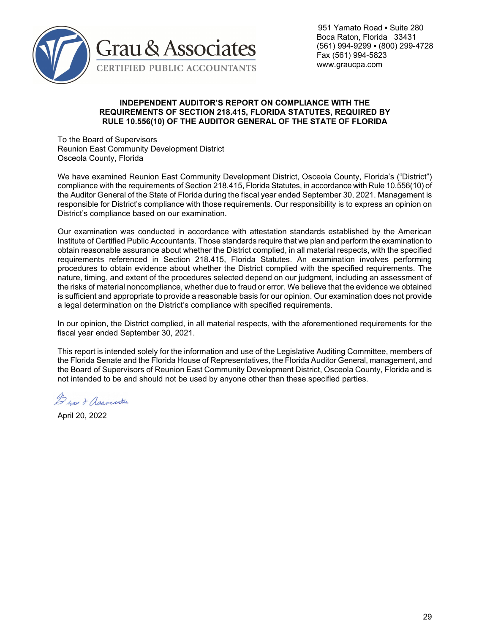

951 Yamato Road · Suite 280 Boca Raton, Florida 33431 (561) 994-9299 ▪ (800) 299-4728 Fax (561) 994-5823 www.graucpa.com

# **INDEPENDENT AUDITOR'S REPORT ON COMPLIANCE WITH THE REQUIREMENTS OF SECTION 218.415, FLORIDA STATUTES, REQUIRED BY RULE 10.556(10) OF THE AUDITOR GENERAL OF THE STATE OF FLORIDA**

To the Board of Supervisors Reunion East Community Development District Osceola County, Florida

We have examined Reunion East Community Development District, Osceola County, Florida's ("District") compliance with the requirements of Section 218.415, Florida Statutes, in accordance with Rule 10.556(10) of the Auditor General of the State of Florida during the fiscal year ended September 30, 2021. Management is responsible for District's compliance with those requirements. Our responsibility is to express an opinion on District's compliance based on our examination.

Our examination was conducted in accordance with attestation standards established by the American Institute of Certified Public Accountants. Those standards require that we plan and perform the examination to obtain reasonable assurance about whether the District complied, in all material respects, with the specified requirements referenced in Section 218.415, Florida Statutes. An examination involves performing procedures to obtain evidence about whether the District complied with the specified requirements. The nature, timing, and extent of the procedures selected depend on our judgment, including an assessment of the risks of material noncompliance, whether due to fraud or error. We believe that the evidence we obtained is sufficient and appropriate to provide a reasonable basis for our opinion. Our examination does not provide a legal determination on the District's compliance with specified requirements.

In our opinion, the District complied, in all material respects, with the aforementioned requirements for the fiscal year ended September 30, 2021.

This report is intended solely for the information and use of the Legislative Auditing Committee, members of the Florida Senate and the Florida House of Representatives, the Florida Auditor General, management, and the Board of Supervisors of Reunion East Community Development District, Osceola County, Florida and is not intended to be and should not be used by anyone other than these specified parties.

De nav & Association

April 20, 2022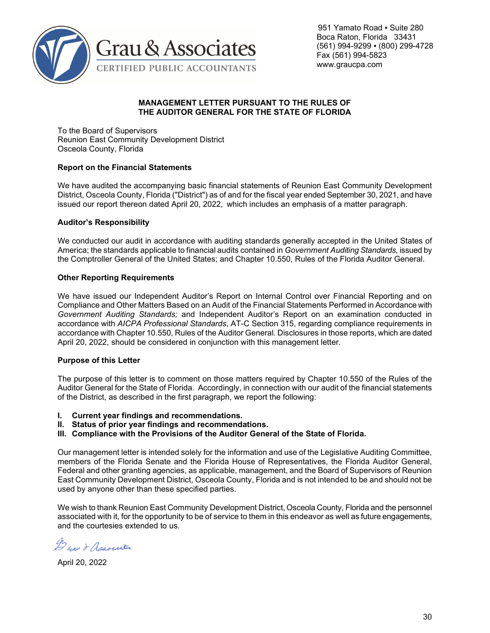

951 Yamato Road · Suite 280 Boca Raton, Florida 33431 (561) 994-9299 ▪ (800) 299-4728 Fax (561) 994-5823 www.graucpa.com

# **MANAGEMENT LETTER PURSUANT TO THE RULES OF THE AUDITOR GENERAL FOR THE STATE OF FLORIDA**

To the Board of Supervisors Reunion East Community Development District Osceola County, Florida

# **Report on the Financial Statements**

We have audited the accompanying basic financial statements of Reunion East Community Development District, Osceola County, Florida ("District") as of and for the fiscal year ended September 30, 2021, and have issued our report thereon dated April 20, 2022, which includes an emphasis of a matter paragraph.

# **Auditor's Responsibility**

We conducted our audit in accordance with auditing standards generally accepted in the United States of America; the standards applicable to financial audits contained in *Government Auditing Standards,* issued by the Comptroller General of the United States; and Chapter 10.550, Rules of the Florida Auditor General.

# **Other Reporting Requirements**

We have issued our Independent Auditor's Report on Internal Control over Financial Reporting and on Compliance and Other Matters Based on an Audit of the Financial Statements Performed in Accordance with *Government Auditing Standards;* and Independent Auditor's Report on an examination conducted in accordance with *AICPA Professional Standards*, AT-C Section 315, regarding compliance requirements in accordance with Chapter 10.550, Rules of the Auditor General. Disclosures in those reports, which are dated April 20, 2022, should be considered in conjunction with this management letter.

## **Purpose of this Letter**

The purpose of this letter is to comment on those matters required by Chapter 10.550 of the Rules of the Auditor General for the State of Florida. Accordingly, in connection with our audit of the financial statements of the District, as described in the first paragraph, we report the following:

- **I. Current year findings and recommendations.**
- **II. Status of prior year findings and recommendations.**
- **III. Compliance with the Provisions of the Auditor General of the State of Florida.**

Our management letter is intended solely for the information and use of the Legislative Auditing Committee, members of the Florida Senate and the Florida House of Representatives, the Florida Auditor General, Federal and other granting agencies, as applicable, management, and the Board of Supervisors of Reunion East Community Development District, Osceola County, Florida and is not intended to be and should not be used by anyone other than these specified parties.

We wish to thank Reunion East Community Development District, Osceola County, Florida and the personnel associated with it, for the opportunity to be of service to them in this endeavor as well as future engagements, and the courtesies extended to us.

Dear & Association

April 20, 2022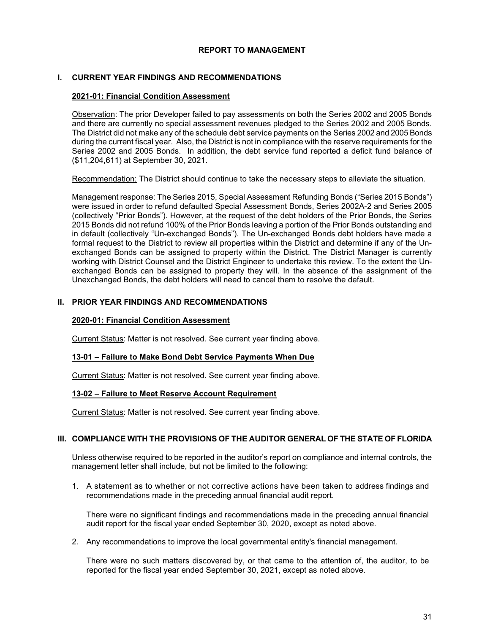# **REPORT TO MANAGEMENT**

# **I. CURRENT YEAR FINDINGS AND RECOMMENDATIONS**

## **2021-01: Financial Condition Assessment**

Observation: The prior Developer failed to pay assessments on both the Series 2002 and 2005 Bonds and there are currently no special assessment revenues pledged to the Series 2002 and 2005 Bonds. The District did not make any of the schedule debt service payments on the Series 2002 and 2005 Bonds during the current fiscal year. Also, the District is not in compliance with the reserve requirements for the Series 2002 and 2005 Bonds. In addition, the debt service fund reported a deficit fund balance of (\$11,204,611) at September 30, 2021.

Recommendation: The District should continue to take the necessary steps to alleviate the situation.

Management response: The Series 2015, Special Assessment Refunding Bonds ("Series 2015 Bonds") were issued in order to refund defaulted Special Assessment Bonds, Series 2002A-2 and Series 2005 (collectively "Prior Bonds"). However, at the request of the debt holders of the Prior Bonds, the Series 2015 Bonds did not refund 100% of the Prior Bonds leaving a portion of the Prior Bonds outstanding and in default (collectively "Un-exchanged Bonds"). The Un-exchanged Bonds debt holders have made a formal request to the District to review all properties within the District and determine if any of the Unexchanged Bonds can be assigned to property within the District. The District Manager is currently working with District Counsel and the District Engineer to undertake this review. To the extent the Unexchanged Bonds can be assigned to property they will. In the absence of the assignment of the Unexchanged Bonds, the debt holders will need to cancel them to resolve the default.

## **II. PRIOR YEAR FINDINGS AND RECOMMENDATIONS**

#### **2020-01: Financial Condition Assessment**

Current Status: Matter is not resolved. See current year finding above.

## **13-01 – Failure to Make Bond Debt Service Payments When Due**

Current Status: Matter is not resolved. See current year finding above.

## **13-02 – Failure to Meet Reserve Account Requirement**

Current Status: Matter is not resolved. See current year finding above.

## **III. COMPLIANCE WITH THE PROVISIONS OF THE AUDITOR GENERAL OF THE STATE OF FLORIDA**

Unless otherwise required to be reported in the auditor's report on compliance and internal controls, the management letter shall include, but not be limited to the following:

1. A statement as to whether or not corrective actions have been taken to address findings and recommendations made in the preceding annual financial audit report.

There were no significant findings and recommendations made in the preceding annual financial audit report for the fiscal year ended September 30, 2020, except as noted above.

2. Any recommendations to improve the local governmental entity's financial management.

There were no such matters discovered by, or that came to the attention of, the auditor, to be reported for the fiscal year ended September 30, 2021, except as noted above.